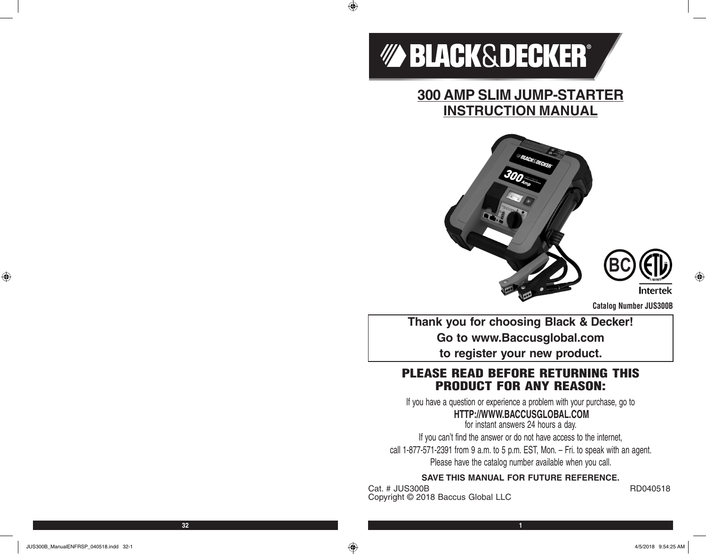

 $\bigoplus$ 

**300 AMP SLIM JUMP-STARTER INSTRUCTION MANUAL**





**Catalog Number JUS300B**

**Thank you for choosing Black & Decker! Go to www.Baccusglobal.com to register your new product.**

# PLEASE READ BEFORE RETURNING THIS PRODUCT FOR ANY REASON:

If you have a question or experience a problem with your purchase, go to

# **HTTP://WWW.BACCUSGLOBAL.COM**

for instant answers 24 hours a day. If you can't find the answer or do not have access to the internet, call 1-877-571-2391 from 9 a.m. to 5 p.m. EST, Mon. – Fri. to speak with an agent. Please have the catalog number available when you call.

#### **SAVE THIS MANUAL FOR FUTURE REFERENCE.**

Cat. # JUS300B RD040518 Copyright © 2018 Baccus Global LLC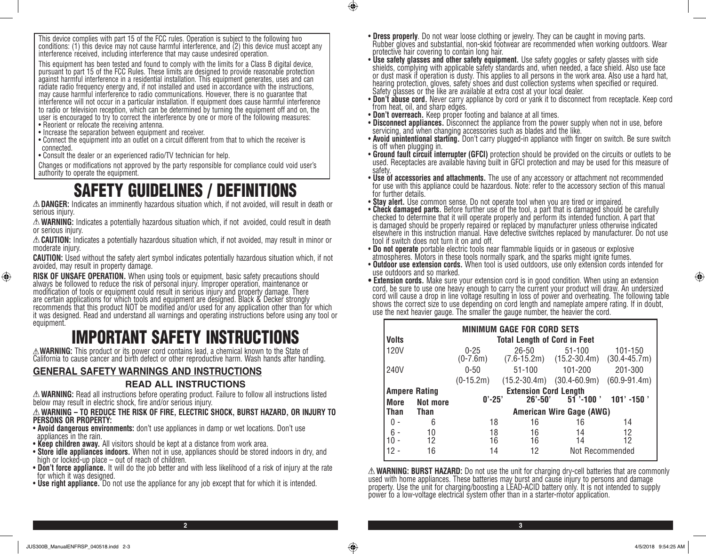This device complies with part 15 of the FCC rules. Operation is subject to the following two conditions: (1) this device may not cause harmful interference, and (2) this device must accept any interference received, including interference that may cause undesired operation.

This equipment has been tested and found to comply with the limits for a Class B digital device, pursuant to part 15 of the FCC Rules. These limits are designed to provide reasonable protection against harmful interference in a residential installation. This equipment generates, uses and can radiate radio frequency energy and, if not installed and used in accordance with the instructions, may cause harmful interference to radio communications. However, there is no guarantee that interference will not occur in a particular installation. If equipment does cause harmful interference to radio or television reception, which can be determined by turning the equipment off and on, the user is encouraged to try to correct the interference by one or more of the following measures:

- Reorient or relocate the receiving antenna.
- Increase the separation between equipment and receiver.
- Connect the equipment into an outlet on a circuit different from that to which the receiver is connected.
- Consult the dealer or an experienced radio/TV technician for help.

Changes or modifications not approved by the party responsible for compliance could void user's authority to operate the equipment.

# SAFETY GUIDELINES / DEFINITIONS

**DANGER:** Indicates an imminently hazardous situation which, if not avoided, will result in death or serious injury.

**WARNING:** Indicates a potentially hazardous situation which, if not avoided, could result in death or serious injury.

**CAUTION:** Indicates a potentially hazardous situation which, if not avoided, may result in minor or moderate injury.

**CAUTION:** Used without the safety alert symbol indicates potentially hazardous situation which, if not avoided, may result in property damage.

**RISK OF UNSAFE OPERATION.** When using tools or equipment, basic safety precautions should always be followed to reduce the risk of personal injury. Improper operation, maintenance or modification of tools or equipment could result in serious injury and property damage. There are certain applications for which tools and equipment are designed. Black & Decker strongly recommends that this product NOT be modified and/or used for any application other than for which it was designed. Read and understand all warnings and operating instructions before using any tool or equipment.

# **EXAMPERTANT SAFETY INSTRUCTIONS**<br>A WARNING: This product or its power cord contains lead, a chemical known to the State of

California to cause cancer and birth defect or other reproductive harm. Wash hands after handling.

# **GENERAL SAFETY WARNINGS AND INSTRUCTIONS READ ALL INSTRUCTIONS**

**WARNING:** Read all instructions before operating product. Failure to follow all instructions listed below may result in electric shock, fire and/or serious injury.

#### **WARNING – TO REDUCE THE RISK OF FIRE, ELECTRIC SHOCK, BURST HAZARD, OR INJURY TO PERSONS OR PROPERTY:**

- **Avoid dangerous environments:** don't use appliances in damp or wet locations. Don't use appliances in the rain.
- **Keep children away.** All visitors should be kept at a distance from work area.
- **Store idle appliances indoors.** When not in use, appliances should be stored indoors in dry, and high or locked-up place out of reach of children.
- **Don't force appliance.** It will do the job better and with less likelihood of a risk of injury at the rate for which it was designed.
- **Use right appliance.** Do not use the appliance for any job except that for which it is intended.
- **Dress properly**. Do not wear loose clothing or jewelry. They can be caught in moving parts.<br>Rubber gloves and substantial, non-skid footwear are recommended when working outdoors. Wear protective hair covering to contain long hair.
- **Use safety glasses and other safety equipment.** Use safety goggles or safety glasses with side shields, complying with applicable safety standards and, when needed, a face shield. Also use face or dust mask if operation is dusty. This applies to all persons in the work area. Also use a hard hat, hearing protection, gloves, safety shoes and dust collection systems when specified or required. Safety glasses or the like are available at extra cost at your local dealer.
- **Don't abuse cord.** Never carry appliance by cord or yank it to disconnect from receptacle. Keep cord from heat, oil, and sharp edges.
- **Don't overreach.** Keep proper footing and balance at all times.
- **Disconnect appliances.** Disconnect the appliance from the power supply when not in use, before servicing, and when changing accessories such as blades and the like.
- **Avoid unintentional starting.** Don't carry plugged-in appliance with finger on switch. Be sure switch is off when plugging in.
- **Ground fault circuit interrupter (GFCI)** protection should be provided on the circuits or outlets to be used. Receptacles are available having built in GFCI protection and may be used for this measure of safety.<br>• Use of accessories and attachments. The use of any accessory or attachment not recommended
- for use with this appliance could be hazardous. Note: refer to the accessory section of this manual for further details.
- **Stay alert.** Use common sense. Do not operate tool when you are tired or impaired.
- **Check damaged parts.** Before further use of the tool, a part that is damaged should be carefully checked to determine that it will operate properly and perform its intended function. A part that is damaged should be properly repaired or replaced by manufacturer unless otherwise indicated elsewhere in this instruction manual. Have defective switches replaced by manufacturer. Do not use tool if switch does not turn it on and off.<br>• Do not operate portable electric tools near flammable liquids or in gaseous or explosive
- atmospheres. Motors in these tools normally spark, and the sparks might ignite fumes.
- **Outdoor use extension cords.** When tool is used outdoors, use only extension cords intended for use outdoors and so marked.
- **Extension cords.** Make sure your extension cord is in good condition. When using an extension cord, be sure to use one heavy enough to carry the current your product will draw. An undersized cord will cause a drop in line voltage resulting in loss of power and overheating. The following table shows the correct size to use depending on cord length and nameplate ampere rating. If in doubt, use the next heavier gauge. The smaller the gauge number, the heavier the cord.

| <b>MINIMUM GAGE FOR CORD SETS</b> |                   |                                     |                          |                                                |                             |  |  |  |
|-----------------------------------|-------------------|-------------------------------------|--------------------------|------------------------------------------------|-----------------------------|--|--|--|
| Volts                             |                   | <b>Total Length of Cord in Feet</b> |                          |                                                |                             |  |  |  |
| 120V                              |                   | $0 - 25$<br>$(0-7.6m)$              | $26 - 50$                | $51 - 100$<br>$(7.6 - 15.2m)$ $(15.2 - 30.4m)$ | 101-150<br>$(30.4 - 45.7m)$ |  |  |  |
| 240V                              |                   | $0 - 50$<br>$51 - 100$              |                          | 201-300<br>101-200                             |                             |  |  |  |
|                                   |                   | $(0-15.2m)$                         |                          | $(15.2 - 30.4m)$ $(30.4 - 60.9m)$              | $(60.9 - 91.4m)$            |  |  |  |
| <b>Ampere Rating</b>              |                   | <b>Extension Cord Length</b>        |                          |                                                |                             |  |  |  |
| Not more<br><b>More</b>           |                   | $0' - 25'$                          | $26' - 50'$              | $51$ '-100 '                                   | $101' - 150'$               |  |  |  |
| <b>Than</b>                       | <b>Than</b>       |                                     | American Wire Gage (AWG) |                                                |                             |  |  |  |
|                                   | 6                 | 18                                  | 16                       | 16                                             | 14                          |  |  |  |
| $6 -$                             | 10                | 18                                  | 16                       | 14                                             | 12                          |  |  |  |
| 10 <sup>1</sup>                   | $12 \overline{ }$ | 16                                  | 16                       | 14                                             | 12                          |  |  |  |
| 12                                | 16                | 14                                  | 12                       | Not Recommended                                |                             |  |  |  |

**WARNING: BURST HAZARD:** Do not use the unit for charging dry-cell batteries that are commonly used with home appliances. These batteries may burst and cause injury to persons and damage property. Use the unit for charging/boosting a LEAD-ACID battery only. It is not intended to supply power to a low-voltage electrical system other than in a starter-motor application.

**2 3**

 $\bigcirc$ 

⊕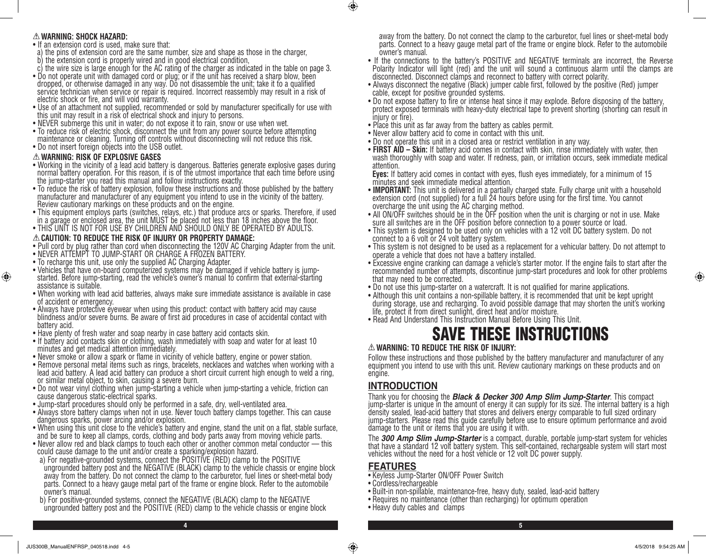#### **WARNING: SHOCK HAZARD:**

- If an extension cord is used, make sure that:
- a) the pins of extension cord are the same number, size and shape as those in the charger,
- b) the extension cord is properly wired and in good electrical condition,
- c) the wire size is large enough for the AC rating of the charger as indicated in the table on page 3.
- Do not operate unit with damaged cord or plug; or if the unit has received a sharp blow, been dropped, or otherwise damaged in any way. Do not disassemble the unit; take it to a qualified service technician when service or repair is required. Incorrect reassembly may result in a risk of electric shock or fire, and will void warranty.
- Use of an attachment not supplied, recommended or sold by manufacturer specifically for use with this unit may result in a risk of electrical shock and injury to persons.
- NEVER submerge this unit in water; do not expose it to rain, snow or use when wet.
- To reduce risk of electric shock, disconnect the unit from any power source before attempting maintenance or cleaning. Turning off controls without disconnecting will not reduce this risk.
- Do not insert foreign objects into the USB outlet.

#### **WARNING: RISK OF EXPLOSIVE GASES**

⊕

- Working in the vicinity of a lead acid battery is dangerous. Batteries generate explosive gases during normal battery operation. For this reason, it is of the utmost importance that each time before using the jump-starter you read this manual and follow instructions exactly.
- To reduce the risk of battery explosion, follow these instructions and those published by the battery manufacturer and manufacturer of any equipment you intend to use in the vicinity of the battery. Review cautionary markings on these products and on the engine.
- This equipment employs parts (switches, relays, etc.) that produce arcs or sparks. Therefore, if used in a garage or enclosed area, the unit MUST be placed not less than 18 inches above the floor.
- THIS UNIT IS NOT FOR USE BY CHILDREN AND SHOULD ONLY BE OPERATED BY ADULTS.

#### **CAUTION: TO REDUCE THE RISK OF INJURY OR PROPERTY DAMAGE:**

- Pull cord by plug rather than cord when disconnecting the 120V AC Charging Adapter from the unit.
- NEVER ATTEMPT TO JUMP-START OR CHARGE A FROZEN BATTERY.
- To recharge this unit, use only the supplied AC Charging Adapter.
- Vehicles that have on-board computerized systems may be damaged if vehicle battery is jumpstarted. Before jump-starting, read the vehicle's owner's manual to confirm that external-starting assistance is suitable.
- When working with lead acid batteries, always make sure immediate assistance is available in case of accident or emergency.
- Always have protective eyewear when using this product: contact with battery acid may cause blindness and/or severe burns. Be aware of first aid procedures in case of accidental contact with battery acid.
- Have plenty of fresh water and soap nearby in case battery acid contacts skin.
- If battery acid contacts skin or clothing, wash immediately with soap and water for at least 10 minutes and get medical attention immediately.
- Never smoke or allow a spark or flame in vicinity of vehicle battery, engine or power station.
- Remove personal metal items such as rings, bracelets, necklaces and watches when working with a lead acid battery. A lead acid battery can produce a short circuit current high enough to weld a ring, or similar metal object, to skin, causing a severe burn.
- Do not wear vinyl clothing when jump-starting a vehicle when jump-starting a vehicle, friction can cause dangerous static-electrical sparks.
- Jump-start procedures should only be performed in a safe, dry, well-ventilated area.
- Always store battery clamps when not in use. Never touch battery clamps together. This can cause dangerous sparks, power arcing and/or explosion.
- When using this unit close to the vehicle's battery and engine, stand the unit on a flat, stable surface, and be sure to keep all clamps, cords, clothing and body parts away from moving vehicle parts.
- Never allow red and black clamps to touch each other or another common metal conductor this could cause damage to the unit and/or create a sparking/explosion hazard.
- a) For negative-grounded systems, connect the POSITIVE (RED) clamp to the POSITIVE ungrounded battery post and the NEGATIVE (BLACK) clamp to the vehicle chassis or engine block away from the battery. Do not connect the clamp to the carburetor, fuel lines or sheet-metal body parts. Connect to a heavy gauge metal part of the frame or engine block. Refer to the automobile owner's manual.
- b) For positive-grounded systems, connect the NEGATIVE (BLACK) clamp to the NEGATIVE ungrounded battery post and the POSITIVE (RED) clamp to the vehicle chassis or engine block

away from the battery. Do not connect the clamp to the carburetor, fuel lines or sheet-metal body parts. Connect to a heavy gauge metal part of the frame or engine block. Refer to the automobile owner's manual.

- If the connections to the battery's POSITIVE and NEGATIVE terminals are incorrect, the Reverse Polarity Indicator will light (red) and the unit will sound a continuous alarm until the clamps are disconnected. Disconnect clamps and reconnect to battery with correct polarity.
- Always disconnect the negative (Black) jumper cable first, followed by the positive (Red) jumper cable, except for positive grounded systems.
- Do not expose battery to fire or intense heat since it may explode. Before disposing of the battery, protect exposed terminals with heavy-duty electrical tape to prevent shorting (shorting can result in injury or fire).
- Place this unit as far away from the battery as cables permit.
- Never allow battery acid to come in contact with this unit.
- Do not operate this unit in a closed area or restrict ventilation in any way.
- **FIRST AID Skin:** If battery acid comes in contact with skin, rinse immediately with water, then wash thoroughly with soap and water. If redness, pain, or irritation occurs, seek immediate medical attention.

**Eyes:** If battery acid comes in contact with eyes, flush eyes immediately, for a minimum of 15 minutes and seek immediate medical attention.

- **IMPORTANT:** This unit is delivered in a partially charged state. Fully charge unit with a household extension cord (not supplied) for a full 24 hours before using for the first time. You cannot overcharge the unit using the AC charging method.
- All ON/OFF switches should be in the OFF position when the unit is charging or not in use. Make sure all switches are in the OFF position before connection to a power source or load.
- This system is designed to be used only on vehicles with a 12 volt DC battery system. Do not connect to a 6 volt or 24 volt battery system.
- This system is not designed to be used as a replacement for a vehicular battery. Do not attempt to operate a vehicle that does not have a battery installed.
- Excessive engine cranking can damage a vehicle's starter motor. If the engine fails to start after the recommended number of attempts, discontinue jump-start procedures and look for other problems that may need to be corrected.
- Do not use this jump-starter on a watercraft. It is not qualified for marine applications.
- Although this unit contains a non-spillable battery, it is recommended that unit be kept upright during storage, use and recharging. To avoid possible damage that may shorten the unit's working life, protect it from direct sunlight, direct heat and/or moisture.
- Read And Understand This Instruction Manual Before Using This Unit.

# SAVE THESE INSTRUCTIONS

#### **WARNING: TO REDUCE THE RISK OF INJURY:**

Follow these instructions and those published by the battery manufacturer and manufacturer of any equipment you intend to use with this unit. Review cautionary markings on these products and on engine.

# **INTRODUCTION**

Thank you for choosing the *Black & Decker 300 Amp Slim Jump-Starter*. This compact<br>jump-starter is unique in the amount of energy it can supply for its size. The internal battery is a high density sealed, lead-acid battery that stores and delivers energy comparable to full sized ordinary jump-starters. Please read this guide carefully before use to ensure optimum performance and avoid damage to the unit or items that you are using it with.

The *300 Amp Slim Jump-Starter* is a compact, durable, portable jump-start system for vehicles that have a standard 12 volt battery system. This self-contained, rechargeable system will start most vehicles without the need for a host vehicle or 12 volt DC power supply.

#### **FEATURES**

**4 5**

- Keyless Jump-Starter ON/OFF Power Switch
- Cordless/rechargeable
- Built-in non-spillable, maintenance-free, heavy duty, sealed, lead-acid battery
- Requires no maintenance (other than recharging) for optimum operation
- Heavy duty cables and clamps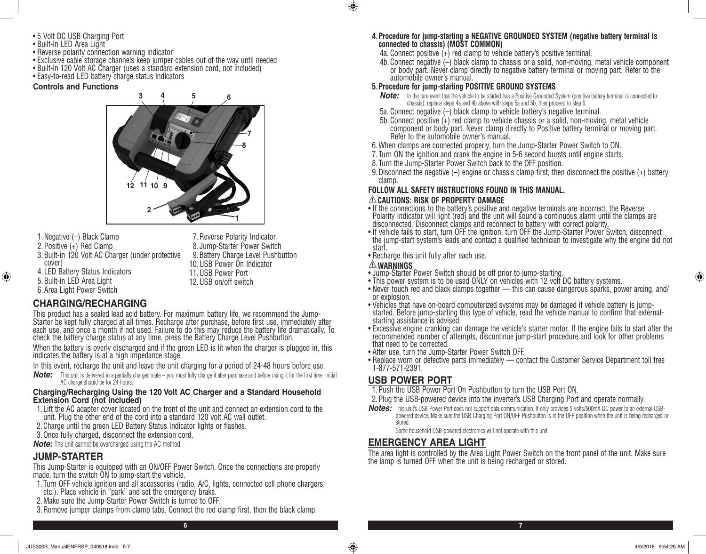- 5 Volt DC USB Charging Port
- Built-in LED Area Light
- Reverse polarity connection warning indicator
- Exclusive cable storage channels keep jumper cables out of the way until needed
- Built-in 120 Volt AC Charger (uses a standard extension cord, not included)
- Easy-to-read LED battery charge status indicators

#### **Controls and Functions**



- 1.Negative (–) Black Clamp
- 2.Positive (+) Red Clamp
- 3.Built-in 120 Volt AC Charger (under protective cover)
- 4. LED Battery Status Indicators 5.Built-in LED Area Light

⊕

6.Area Light Power Switch

7.Reverse Polarity Indicator 8. Jump-Starter Power Switch 9.Battery Charge Level Pushbutton 10.USB Power On Indicator 11.USB Power Port 12.USB on/off switch

## **CHARGING/RECHARGING**

This product has a sealed lead acid battery. For maximum battery life, we recommend the Jump-Starter be kept fully charged at all times. Recharge after purchase, before first use, immediately after each use, and once a month if not used. Failure to do this may reduce the battery life dramatically. To check the battery charge status at any time, press the Battery Charge Level Pushbutton.

When the battery is overly discharged and if the green LED is lit when the charger is plugged in, this indicates the battery is at a high impedance stage.

- In this event, recharge the unit and leave the unit charging for a period of 24-48 hours before use.
- *Note:* This unit is delivered in a partially charged state you must fully charge it after purchase and before using it for the first time. Initial AC charge should be for 24 hours.

#### **Charging/Recharging Using the 120 Volt AC Charger and a Standard Household Extension Cord (not included)**

- 1. Lift the AC adapter cover located on the front of the unit and connect an extension cord to the unit. Plug the other end of the cord into a standard 120 volt AC wall outlet.
- 2.Charge until the green LED Battery Status Indicator lights or flashes.
- 3. Once fully charged, disconnect the extension cord.

*Note:* The unit cannot be overcharged using the AC method.

#### **JUMP-STARTER**

This Jump-Starter is equipped with an ON/OFF Power Switch. Once the connections are properly made, turn the switch ON to jump-start the vehicle.

- 1. Turn OFF vehicle ignition and all accessories (radio, A/C, lights, connected cell phone chargers, etc.). Place vehicle in "park" and set the emergency brake.
- 2.Make sure the Jump-Starter Power Switch is turned to OFF.
- 3.Remove jumper clamps from clamp tabs. Connect the red clamp first, then the black clamp.

#### **4.Procedure for jump-starting a NEGATIVE GROUNDED SYSTEM (negative battery terminal is connected to chassis) (MOST COMMON)**

- 4a. Connect positive (+) red clamp to vehicle battery's positive terminal.
- 4b. Connect negative (–) black clamp to chassis or a solid, non-moving, metal vehicle component or body part. Never clamp directly to negative battery terminal or moving part. Refer to the automobile owner's manual.

#### **5.Procedure for jump-starting POSITIVE GROUND SYSTEMS**

- *Note:* In the rare event that the vehicle to be started has a Positive Grounded System (positive battery terminal is connected to chassis), replace steps 4a and 4b above with steps 5a and 5b, then proceed to step 6.
- 5a. Connect negative (–) black clamp to vehicle battery's negative terminal.
- 5b. Connect positive (+) red clamp to vehicle chassis or a solid, non-moving, metal vehicle component or body part. Never clamp directly to Positive battery terminal or moving part. Refer to the automobile owner's manual.
- 6.When clamps are connected properly, turn the Jump-Starter Power Switch to ON.
- 7. Turn ON the ignition and crank the engine in 5-6 second bursts until engine starts.
- 8. Turn the Jump-Starter Power Switch back to the OFF position.
- 9.Disconnect the negative (–) engine or chassis clamp first, then disconnect the positive (+) battery clamp.

# **FOLLOW ALL SAFETY INSTRUCTIONS FOUND IN THIS MANUAL.**

#### **CAUTIONS: RISK OF PROPERTY DAMAGE**

- If the connections to the battery's positive and negative terminals are incorrect, the Reverse Polarity Indicator will light (red) and the unit will sound a continuous alarm until the clamps are disconnected. Disconnect clamps and reconnect to battery with correct polarity.
- If vehicle fails to start, turn OFF the ignition, turn OFF the Jump-Starter Power Switch, disconnect the jump-start system's leads and contact a qualified technician to investigate why the engine did not start.
- Recharge this unit fully after each use.
- 

 $\bigcirc$ 

- **WARNINGS** Jump-Starter Power Switch should be off prior to jump-starting.
- This power system is to be used ONLY on vehicles with 12 volt DC battery systems.
- Never touch red and black clamps together this can cause dangerous sparks, power arcing, and/ or explosion.
- Vehicles that have on-board computerized systems may be damaged if vehicle battery is jumpstarted. Before jump-starting this type of vehicle, read the vehicle manual to confirm that externalstarting assistance is advised.
- Excessive engine cranking can damage the vehicle's starter motor. If the engine fails to start after the recommended number of attempts, discontinue jump-start procedure and look for other problems that need to be corrected.
- After use, turn the Jump-Starter Power Switch OFF.
- Replace worn or defective parts immediately contact the Customer Service Department toll free 1-877-571-2391.

#### **USB POWER PORT**

- 1.Push the USB Power Port On Pushbutton to turn the USB Port ON.
- 2.Plug the USB-powered device into the inverter's USB Charging Port and operate normally.
- *Notes:* This unit's USB Power Port does not support data communication. It only provides 5 volts/500mA DC power to an external USBpowered device. Make sure the USB Charging Port ON/OFF Pushbutton is in the OFF position when the unit is being recharged or stored.

Some household USB-powered electronics will not operate with this unit.

## **EMERGENCY AREA LIGHT**

The area light is controlled by the Area Light Power Switch on the front panel of the unit. Make sure the lamp is turned OFF when the unit is being recharged or stored.

**6 7**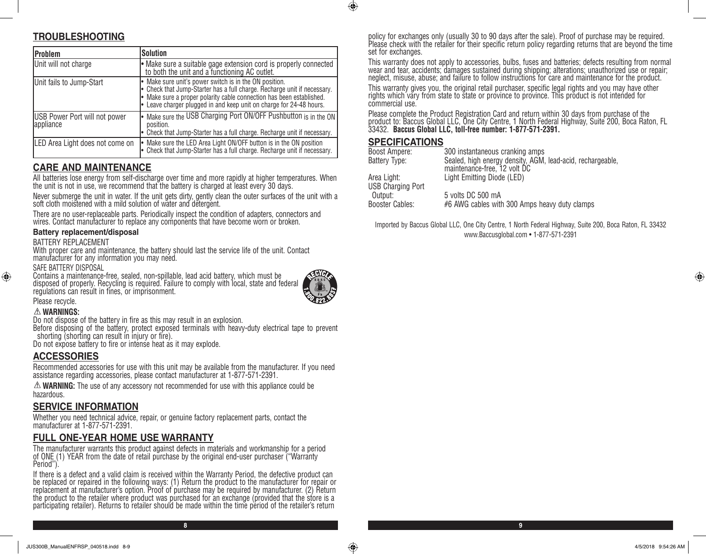# **TROUBLESHOOTING**

| <b>IProblem</b>                                   | <b>Solution</b>                                                                                                                                                                                                                                                                   |
|---------------------------------------------------|-----------------------------------------------------------------------------------------------------------------------------------------------------------------------------------------------------------------------------------------------------------------------------------|
| Unit will not charge                              | • Make sure a suitable gage extension cord is properly connected<br>to both the unit and a functioning AC outlet.                                                                                                                                                                 |
| Unit fails to Jump-Start                          | • Make sure unit's power switch is in the ON position.<br>• Check that Jump-Starter has a full charge. Recharge unit if necessary.<br>• Make sure a proper polarity cable connection has been established.<br>• Leave charger plugged in and keep unit on charge for 24-48 hours. |
| <b>USB Power Port will not power</b><br>appliance | • Make sure the USB Charging Port ON/OFF Pushbutton is in the ON<br>position.<br>Check that Jump-Starter has a full charge. Recharge unit if necessary.                                                                                                                           |
| LED Area Light does not come on                   | • Make sure the LED Area Light ON/OFF button is in the ON position<br>• Check that Jump-Starter has a full charge. Recharge unit if necessary.                                                                                                                                    |

## **CARE AND MAINTENANCE**

All batteries lose energy from self-discharge over time and more rapidly at higher temperatures. When the unit is not in use, we recommend that the battery is charged at least every 30 days.

Never submerge the unit in water. If the unit gets dirty, gently clean the outer surfaces of the unit with a soft cloth moistened with a mild solution of water and detergent.

There are no user-replaceable parts. Periodically inspect the condition of adapters, connectors and wires. Contact manufacturer to replace any components that have become worn or broken.

#### **Battery replacement/disposal**

#### BATTERY REPLACEMENT

With proper care and maintenance, the battery should last the service life of the unit. Contact manufacturer for any information you may need.

#### SAFE BATTERY DISPOSAL

Contains a maintenance-free, sealed, non-spillable, lead acid battery, which must be disposed of properly. Recycling is required. Failure to comply with local, state and federal regulations can result in fines, or imprisonment.



**8 9**

#### Please recycle.

⊕

**WARNINGS:**

Do not dispose of the battery in fire as this may result in an explosion.

Before disposing of the battery, protect exposed terminals with heavy-duty electrical tape to prevent shorting (shorting can result in injury or fire).

Do not expose battery to fire or intense heat as it may explode.

#### **ACCESSORIES**

Recommended accessories for use with this unit may be available from the manufacturer. If you need assistance regarding accessories, please contact manufacturer at 1-877-571-2391.

**WARNING:** The use of any accessory not recommended for use with this appliance could be hazardous.

#### **SERVICE INFORMATION**

Whether you need technical advice, repair, or genuine factory replacement parts, contact the manufacturer at 1-877-571-2391.

#### **FULL ONE-YEAR HOME USE WARRANTY**

The manufacturer warrants this product against defects in materials and workmanship for a period of ONE (1) YEAR from the date of retail purchase by the original end-user purchaser ("Warranty Period").

If there is a defect and a valid claim is received within the Warranty Period, the defective product can be replaced or repaired in the following ways: (1) Return the product to the manufacturer for repair or replacement at manufacturer's option. Proof of purchase may be required by manufacturer. (2) Return the product to the retailer where product was purchased for an exchange (provided that the store is a participating retailer). Returns to retailer should be made within the time period of the retailer's return

policy for exchanges only (usually 30 to 90 days after the sale). Proof of purchase may be required. Please check with the retailer for their specific return policy regarding returns that are beyond the time set for exchanges.

This warranty does not apply to accessories, bulbs, fuses and batteries; defects resulting from normal wear and tear, accidents; damages sustained during shipping; alterations; unauthorized use or repair; neglect, misuse, abuse; and failure to follow instructions for care and maintenance for the product.

This warranty gives you, the original retail purchaser, specific legal rights and you may have other rights which vary from state to state or province to province. This product is not intended for commercial use.

Please complete the Product Registration Card and return within 30 days from purchase of the product to: Baccus Global LLC, One City Centre, 1 North Federal Highway, Suite 200, Boca Raton, FL 33432. **Baccus Global LLC, toll-free number: 1-877-571-2391.** 

#### **SPECIFICATIONS**

 $\bigcirc$ 

| Boost Ampere:            | 300 instantaneous cranking amps                                                            |
|--------------------------|--------------------------------------------------------------------------------------------|
| Battery Type:            | Sealed, high energy density, AGM, lead-acid, rechargeable,<br>maintenance-free, 12 volt DC |
| Area Light:              | Light Emitting Diode (LED)                                                                 |
| <b>USB Charging Port</b> |                                                                                            |
| Output:                  | 5 volts DC 500 mA                                                                          |
| <b>Booster Cables:</b>   | #6 AWG cables with 300 Amps heavy duty clamps                                              |

Imported by Baccus Global LLC, One City Centre, 1 North Federal Highway, Suite 200, Boca Raton, FL 33432 www.Baccusglobal.com • 1-877-571-2391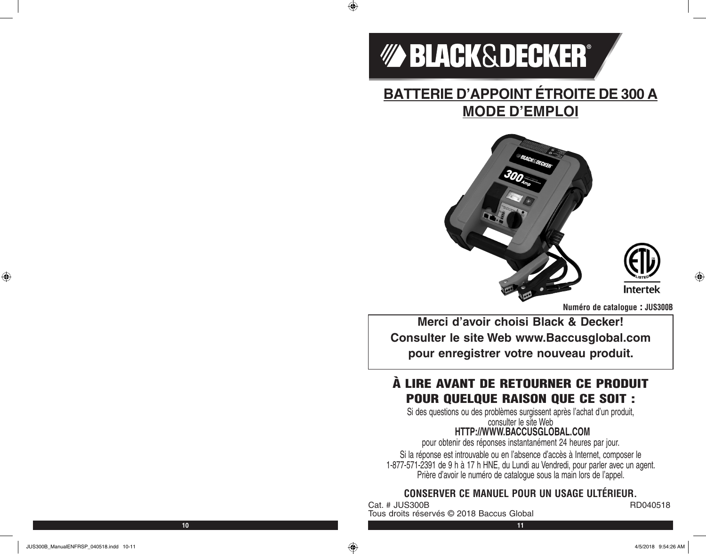

 $\bigoplus$ 

# **BATTERIE D'APPOINT ÉTROITE DE 300 A MODE D'EMPLOI**





⊕

**Numéro de catalogue : JUS300B**

**Merci d'avoir choisi Black & Decker! Consulter le site Web www.Baccusglobal.com pour enregistrer votre nouveau produit.**

# À LIRE AVANT DE RETOURNER CE PRODUIT POUR QUELQUE RAISON QUE CE SOIT :

Si des questions ou des problèmes surgissent après l'achat d'un produit, consulter le site Web

# **HTTP://WWW.BACCUSGLOBAL.COM**

pour obtenir des réponses instantanément 24 heures par jour.

Si la réponse est introuvable ou en l'absence d'accès à Internet, composer le 1-877-571-2391 de 9 h à 17 h HNE, du Lundi au Vendredi, pour parler avec un agent. Prière d'avoir le numéro de catalogue sous la main lors de l'appel.

# **CONSERVER CE MANUEL POUR UN USAGE ULTÉRIEUR.**

Cat. # JUS300B RD040518 Tous droits réservés © 2018 Baccus Global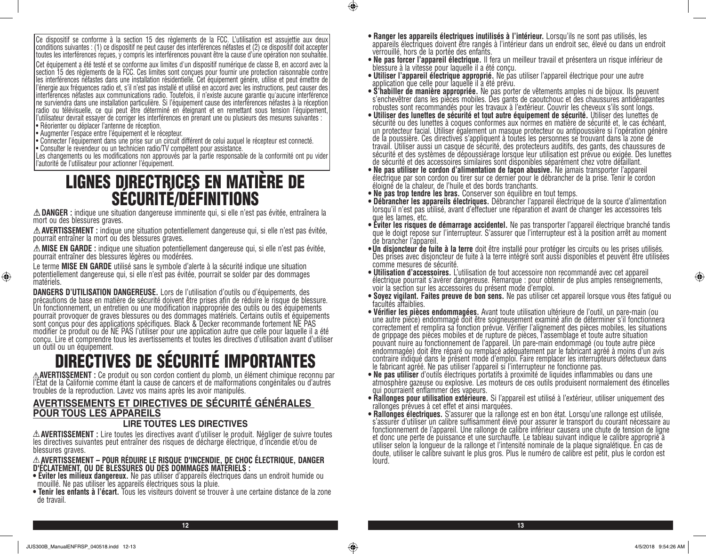Ce dispositif se conforme à la section 15 des règlements de la FCC. L'utilisation est assujettie aux deux conditions suivantes : (1) ce dispositif ne peut causer des interférences néfastes et (2) ce dispositif doit accepter toutes les interférences reçues, y compris les interférences pouvant être la cause d'une opération non souhaitée.

Cet équipement a été testé et se conforme aux limites d'un dispositif numérique de classe B, en accord avec la section 15 des règlements de la FCC. Ces limites sont conçues pour fournir une protection raisonnable contre les interférences néfastes dans une installation résidentielle. Cet équipement génère, utilise et peut émettre de l'énergie aux fréquences radio et, s'il n'est pas installé et utilisé en accord avec les instructions, peut causer des interférences néfastes aux communications radio. Toutefois, il n'existe aucune garantie qu'aucune interférence ne surviendra dans une installation particulière. Si l'équipement cause des interférences néfastes à la réception radio ou télévisuelle, ce qui peut être déterminé en éteignant et en remettant sous tension l'équipement, l'utilisateur devrait essayer de corriger les interférences en prenant une ou plusieurs des mesures suivantes : • Réorienter ou déplacer l'antenne de réception.

- Augmenter l'espace entre l'équipement et le récepteur.
- Connecter l'équipement dans une prise sur un circuit différent de celui auquel le récepteur est connecté.
- Consulter le revendeur ou un technicien radio/TV compétent pour assistance.

Les changements ou les modifications non approuvés par la partie responsable de la conformité ont pu vider l'autorité de l'utilisateur pour actionner l'équipement.

# LIGNES DIRECTRICES EN MATIÈRE DE SÉCURITÉ/DÉFINITIONS

**DANGER :** indique une situation dangereuse imminente qui, si elle n'est pas évitée, entraînera la mort ou des blessures graves.

**AVERTISSEMENT :** indique une situation potentiellement dangereuse qui, si elle n'est pas évitée, pourrait entraîner la mort ou des blessures graves.

**MISE EN GARDE :** indique une situation potentiellement dangereuse qui, si elle n'est pas évitée, pourrait entraîner des blessures légères ou modérées.

Le terme **MISE EN GARDE** utilisé sans le symbole d'alerte à la sécurité indique une situation potentiellement dangereuse qui, si elle n'est pas évitée, pourrait se solder par des dommages matériels.

**DANGERS D'UTILISATION DANGEREUSE.** Lors de l'utilisation d'outils ou d'équipements, des<br>précautions de base en matière de sécurité doivent être prises afin de réduire le risque de blessure. Un fonctionnement, un entretien ou une modification inappropriée des outils ou des équipements pourrait provoquer de graves blessures ou des dommages matériels. Certains outils et équipements sont conçus pour des applications spécifiques. Black & Decker recommande fortement NE PAS modifier ce produit ou de NE PAS l'utiliser pour une application autre que celle pour laquelle il a été conçu. Lire et comprendre tous les avertissements et toutes les directives d'utilisation avant d'utiliser un outil ou un équipement.

# DIRECTIVES DE SÉCURITÉ IMPORTANTES

**AVERTISSEMENT :** Ce produit ou son cordon contient du plomb, un élément chimique reconnu par l'État de la Californie comme étant la cause de cancers et de malformations congénitales ou d'autres troubles de la reproduction. Lavez vos mains après les avoir manipulés.

# **AVERTISSEMENTS ET DIRECTIVES DE SÉCURITÉ GÉNÉRALES POUR TOUS LES APPAREILS**

#### **LIRE TOUTES LES DIRECTIVES**

**AVERTISSEMENT :** Lire toutes les directives avant d'utiliser le produit. Négliger de suivre toutes les directives suivantes peut entraîner des risques de décharge électrique, d'incendie et/ou de blessures graves.

**AVERTISSEMENT – POUR RÉDUIRE LE RISQUE D'INCENDIE, DE CHOC ÉLECTRIQUE, DANGER D'ÉCLATEMENT, OU DE BLESSURES OU DES DOMMAGES MATÉRIELS :**

- **Éviter les milieux dangereux.** Ne pas utiliser d'appareils électriques dans un endroit humide ou mouillé. Ne pas utiliser les appareils électriques sous la pluie.
- **Tenir les enfants à l'écart.** Tous les visiteurs doivent se trouver à une certaine distance de la zone de travail.
- **Ranger les appareils électriques inutilisés à l'intérieur.** Lorsqu'ils ne sont pas utilisés, les appareils électriques doivent être rangés à l'intérieur dans un endroit sec, élevé ou dans un endroit verrouillé, hors de la portée des enfants.
- **Ne pas forcer l'appareil électrique.** Il fera un meilleur travail et présentera un risque inférieur de blessure à la vitesse pour laquelle il a été conçu.
- **Utiliser l'appareil électrique approprié.** Ne pas utiliser l'appareil électrique pour une autre application que celle pour laquelle il a été prévu.
- **S'habiller de manière appropriée.** Ne pas porter de vêtements amples ni de bijoux. Ils peuvent s'enchevêtrer dans les pièces mobiles. Des gants de caoutchouc et des chaussures antidérapantes robustes sont recommandés pour les travaux à l'extérieur. Couvrir les cheveux s'ils sont longs.
- **Utiliser des lunettes de sécurité et tout autre équipement de sécurité.** Utiliser des lunettes de sécurité ou des lunettes à coques conformes aux normes en matière de sécurité et, le cas échéant, un protecteur facial. Utiliser également un masque protecteur ou antipoussière si l'opération génère de la poussière. Ces directives s'appliquent à toutes les personnes se trouvant dans la zone de travail. Utiliser aussi un casque de sécurité, des protecteurs auditifs, des gants, des chaussures de sécurité et des systèmes de dépoussiérage lorsque leur utilisation est prévue ou exigée. Des lunettes de sécurité et des accessoires similaires sont disponibles séparément chez votre détaillant.
- **Ne pas utiliser le cordon d'alimentation de façon abusive.** Ne jamais transporter l'appareil électrique par son cordon ou tirer sur ce dernier pour le débrancher de la prise. Tenir le cordon éloigné de la chaleur, de l'huile et des bords tranchants.
- 
- **Ne pas trop tendre les bras.** Conserver son équilibre en tout temps. lorsqu'il n'est pas utilisé, avant d'effectuer une réparation et avant de changer les accessoires tels
- que les lames, etc.<br>• Éviter les risques de démarrage accidentel. Ne pas transporter l'appareil électrique branché tandis que le doigt repose sur l'interrupteur. S'assurer que l'interrupteur est à la position arrêt au moment
- de brancher l'appareil.<br>• **Un disjoncteur de fuite à la terre** doit être installé pour protéger les circuits ou les prises utilisés. Des prises avec disjoncteur de fuite à la terre intégré sont aussi disponibles et peuvent être utilisées
- comme mesures de sécurité.<br>• Utilisation d'accessoires. L'utilisation de tout accessoire non recommandé avec cet appareil **• Utilisation d'accessoires.** L'utilisation de tout accessoire non recommandé avec cet appareil électrique pourrait s'avérer dangereuse. Remarque : pour obtenir de plus amples renseignements, voir la section sur les accessoires du présent mode d'emploi.
- **Soyez vigilant. Faites preuve de bon sens.** Ne pas utiliser cet appareil lorsque vous êtes fatigué ou facultés affaiblies.
- une autre pièce) endommagé doit être soigneusement examiné afin de déterminer s'il fonctionnera correctement et remplira sa fonction prévue. Vérifier l'alignement des pièces mobiles, les situations de grippage des pièces mobiles et de rupture de pièces, l'assemblage et toute autre situation pouvant nuire au fonctionnement de l'appareil. Un pare-main endommagé (ou toute autre pièce endommagée) doit être réparé ou remplacé adéquatement par le fabricant agréé à moins d'un avis contraire indiqué dans le présent mode d'emploi. Faire remplacer les interrupteurs défectueux dans
- le fabricant agréé. Ne pas utiliser l'appareil si l'interrupteur ne fonctionne pas.<br>• Ne pas utiliser d'outils électriques portatifs à proximité de liquides inflammables ou dans une atmosphère gazeuse ou explosive. Les moteurs de ces outils produisent normalement des étincelles qui pourraient enflammer des vapeurs.
- **Rallonges pour utilisation extérieure.** Si l'appareil est utilisé à l'extérieur, utiliser uniquement des rallonges prévues à cet effet et ainsi marquées.
- **Rallonges électriques.** S'assurer que la rallonge est en bon état. Lorsqu'une rallonge est utilisée, s'assurer d'utiliser un calibre suffisamment élevé pour assurer le transport du courant nécessaire au fonctionnement de l'appareil. Une rallonge de calibre inférieur causera une chute de tension de ligne et donc une perte de puissance et une surchauffe. Le tableau suivant indique le calibre approprié à utiliser selon la longueur de la rallonge et l'intensité nominale de la plaque signalétique. En cas de doute, utiliser le calibre suivant le plus gros. Plus le numéro de calibre est petit, plus le cordon est lourd.

⊕

**12 13**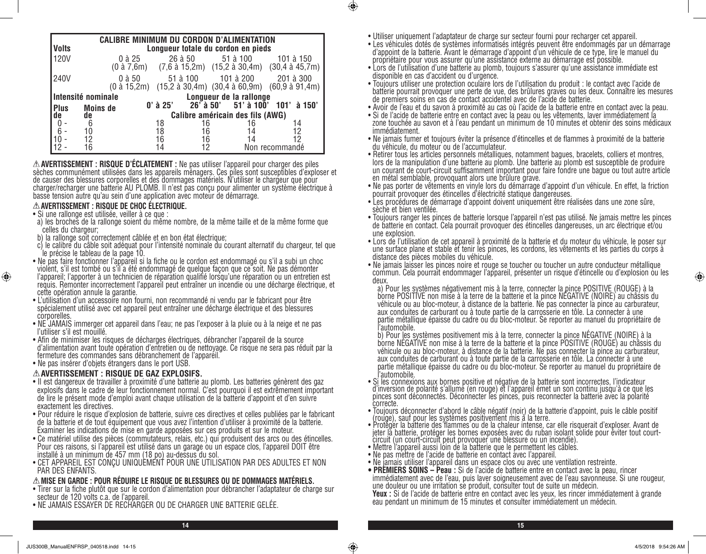|                                      |                 | <b>CALIBRE MINIMUM DU CORDON D'ALIMENTATION</b> |            |         |                                    |                                                                                                                                                                  |
|--------------------------------------|-----------------|-------------------------------------------------|------------|---------|------------------------------------|------------------------------------------------------------------------------------------------------------------------------------------------------------------|
| <b>Volts</b>                         |                 |                                                 |            |         | Longueur totale du cordon en pieds |                                                                                                                                                                  |
| 120V                                 |                 | 0 à 25                                          |            | 26 à 50 | 51 à 100                           | 101 à 150<br>$(0 \text{ à } 7,6\text{m})$ $(7,6 \text{ à } 15,2\text{m})$ $(15,2 \text{ à } 30,4\text{m})$ $(30,4 \text{ à } 45,7\text{m})$                      |
| <b>240V</b>                          |                 | $0$ à $50$                                      |            |         |                                    | 51 à 100 101 à 200 201 à 300<br>$(0 \text{ à } 15,2\text{m})$ $(15,2 \text{ à } 30,4\text{m})$ $(30,4 \text{ à } 60,9\text{m})$ $(60,9 \text{ à } 91,4\text{m})$ |
| Intensité nominale                   |                 |                                                 |            |         | Longueur de la rallonge            |                                                                                                                                                                  |
| Plus<br>de                           | <b>Moins de</b> |                                                 | $0'$ à 25' |         |                                    | $26'$ à 50' 51' à 100' 101' à 150'                                                                                                                               |
|                                      | de              |                                                 |            |         | Calibre américain des fils (AWG)   |                                                                                                                                                                  |
|                                      | 6               |                                                 | 18         | 16      | 16                                 | 14                                                                                                                                                               |
| $\begin{matrix} 0 \\ 6 \end{matrix}$ | 10              |                                                 | 18         | 16      | 14                                 | 12                                                                                                                                                               |
| 10                                   | 12              |                                                 | 16         | 16      | 14                                 | 12                                                                                                                                                               |
|                                      | 16              |                                                 | 14         |         |                                    | Non recommandé                                                                                                                                                   |

**AVERTISSEMENT : RISQUE D'ÉCLATEMENT :** Ne pas utiliser l'appareil pour charger des piles sèches communément utilisées dans les appareils ménagers. Ces piles sont susceptibles d'exploser et de causer des blessures corporelles et des dommages matériels. N'utiliser le chargeur que pour charger/recharger une batterie AU PLOMB. Il n'est pas conçu pour alimenter un système électrique à basse tension autre qu'au sein d'une application avec moteur de démarrage.

#### **AVERTISSEMENT : RISQUE DE CHOC ÉLECTRIQUE.**

#### • Si une rallonge est utilisée, veiller à ce que :

⊕

- a) les broches de la rallonge soient du même nombre, de la même taille et de la même forme que celles du chargeur;
- b) la rallonge soit correctement câblée et en bon état électrique;
- c) le calibre du câble soit adéquat pour l'intensité nominale du courant alternatif du chargeur, tel que le précise le tableau de la page 10.
- Ne pas faire fonctionner l'appareil si la fiche ou le cordon est endommagé ou s'il a subi un choc violent, s'il est tombé ou s'il a été endommagé de quelque façon que ce soit. Ne pas démonter l'appareil; l'apporter à un technicien de réparation qualifié lorsqu'une réparation ou un entretien est requis. Remonter incorrectement l'appareil peut entraîner un incendie ou une décharge électrique, et cette opération annule la garantie.
- L'utilisation d'un accessoire non fourni, non recommandé ni vendu par le fabricant pour être spécialement utilisé avec cet appareil peut entraîner une décharge électrique et des blessures corporelles.
- NE JAMAIS immerger cet appareil dans l'eau; ne pas l'exposer à la pluie ou à la neige et ne pas l'utiliser s'il est mouillé.
- Afin de minimiser les risques de décharges électriques, débrancher l'appareil de la source d'alimentation avant toute opération d'entretien ou de nettoyage. Ce risque ne sera pas réduit par la fermeture des commandes sans débranchement de l'appareil.
- Ne pas insérer d'objets étrangers dans le port USB.

#### **AVERTISSEMENT : RISQUE DE GAZ EXPLOSIFS.**

- Il est dangereux de travailler à proximité d'une batterie au plomb. Les batteries génèrent des gaz explosifs dans le cadre de leur fonctionnement normal. C'est pourquoi il est extrêmement important de lire le présent mode d'emploi avant chaque utilisation de la batterie d'appoint et d'en suivre exactement les directives.
- Pour réduire le risque d'explosion de batterie, suivre ces directives et celles publiées par le fabricant de la batterie et de tout équipement que vous avez l'intention d'utiliser à proximité de la batterie. Examiner les indications de mise en garde apposées sur ces produits et sur le moteur.
- Ce matériel utilise des pièces (commutateurs, relais, etc.) qui produisent des arcs ou des étincelles. Pour ces raisons, si l'appareil est utilisé dans un garage ou un espace clos, l'appareil DOIT être installé à un minimum de 457 mm (18 po) au-dessus du sol.
- CET APPAREIL EST CONÇU UNIQUEMENT POUR UNE UTILISATION PAR DES ADULTES ET NON PAR DES ENFANTS.

#### **MISE EN GARDE : POUR RÉDUIRE LE RISQUE DE BLESSURES OU DE DOMMAGES MATÉRIELS.**

- Tirer sur la fiche plutôt que sur le cordon d'alimentation pour débrancher l'adaptateur de charge sur secteur de 120 volts c.a. de l'appareil.
- NE JAMAIS ESSAYER DE RECHARGER OU DE CHARGER UNE BATTERIE GELÉE.

• Utiliser uniquement l'adaptateur de charge sur secteur fourni pour recharger cet appareil.

 $\bigcirc$ 

- Les véhicules dotés de systèmes informatisés intégrés peuvent être endommagés par un démarrage d'appoint de la batterie. Avant le démarrage d'appoint d'un véhicule de ce type, lire le manuel du propriétaire pour vous assurer qu'une assistance externe au démarrage est possible.
- Lors de l'utilisation d'une batterie au plomb, toujours s'assurer qu'une assistance immédiate est disponible en cas d'accident ou d'urgence.
- Toujours utiliser une protection oculaire lors de l'utilisation du produit : le contact avec l'acide de batterie pourrait provoquer une perte de vue, des brûlures graves ou les deux. Connaître les mesures de premiers soins en cas de contact accidentel avec de l'acide de batterie.
- Avoir de l'eau et du savon à proximité au cas où l'acide de la batterie entre en contact avec la peau.
- Si de l'acide de batterie entre en contact avec la peau ou les vêtements, laver immédiatement la zone touchée au savon et à l'eau pendant un minimum de 10 minutes et obtenir des soins médicaux immédiatement.
- Ne jamais fumer et toujours éviter la présence d'étincelles et de flammes à proximité de la batterie du véhicule, du moteur ou de l'accumulateur.
- Retirer tous les articles personnels métalliques, notamment bagues, bracelets, colliers et montres, lors de la manipulation d'une batterie au plomb. Une batterie au plomb est susceptible de produire un courant de court-circuit suffisamment important pour faire fondre une bague ou tout autre article en métal semblable, provoquant alors une brûlure grave.
- Ne pas porter de vêtements en vinyle lors du démarrage d'appoint d'un véhicule. En effet, la friction pourrait provoquer des étincelles d'électricité statique dangereuses.
- Les procédures de démarrage d'appoint doivent uniquement être réalisées dans une zone sûre, sèche et bien ventilée.
- Toujours ranger les pinces de batterie lorsque l'appareil n'est pas utilisé. Ne jamais mettre les pinces de batterie en contact. Cela pourrait provoquer des étincelles dangereuses, un arc électrique et/ou une explosion.
- Lors de l'utilisation de cet appareil à proximité de la batterie et du moteur du véhicule, le poser sur une surface plane et stable et tenir les pinces, les cordons, les vêtements et les parties du corps à distance des pièces mobiles du véhicule.
- Ne jamais laisser les pinces noire et rouge se toucher ou toucher un autre conducteur métallique commun. Cela pourrait endommager l'appareil, présenter un risque d'étincelle ou d'explosion ou les
- deux.<br>a) Pour les systèmes négativement mis à la terre, connecter la pince POSITIVE (ROUGE) à la borne POSITIVE non mise à la terre de la batterie et la pince NÉGATIVE (NOIRE) au châssis du véhicule ou au bloc-moteur, à distance de la batterie. Ne pas connecter là pince au carburateur, aux conduites de carburant ou à toute partie de la carrosserie en tôle. La connecter à une partie métallique épaisse du cadre ou du bloc-moteur. Se reporter au manuel du propriétaire de

l'automobile.<br>b) Pour <u>l</u>es systèmes positivement mis à la terre, connecter la <u>pince NÉGATIVE (NOIRE)</u> à la borne NÉGATIVE non mise à la terre de la batterie et la pince POSITIVE (ROUGE) au châssis du véhicule ou au bloc-moteur, à distance de la batterie. Ne pas connecter la pince au carburateur, aux conduites de carburant ou à toute partie de la carrosserie en tôle. La connecter à une partie métallique épaisse du cadre ou du bloc-moteur. Se reporter au manuel du propriétaire de l'automobile.

- Si les connexions aux bornes positive et négative de la batterie sont incorrectes, l'indicateur d'inversion de polarité s'allume (en rouge) et l'appareil émet un son continu jusqu'à ce que les pinces sont déconnectés. Déconnecter les pinces, puis reconnecter la batterie avec la polarité correcte.
- Toujours déconnecter d'abord le câble négatif (noir) de la batterie d'appoint, puis le câble positif (rouge), sauf pour les systèmes positivement mis à la terre.
- Protéger la batterie des flammes ou de la chaleur intense, car elle risquerait d'exploser. Avant de jeter la batterie, protéger les bornes exposées avec du ruban isolant solide pour éviter tout courtcircuit (un court-circuit peut provoquer une blessure ou un incendie).
- Mettre l'appareil aussi loin de la batterie que le permettent les câbles.
- Ne pas mettre de l'acide de batterie en contact avec l'appareil.
- Ne jamais utiliser l'appareil dans un espace clos ou avec une ventilation restreinte.<br>• PREMIERS SOINS Peau : Si de l'acide de batterie entre en contact avec la peau, rincer
- immédiatement avec de l'eau, puis laver soigneusement avec de l'eau savonneuse. Si une rougeur, une douleur ou une irritation se produit, consulter tout de suite un médecin.

**Yeux :** Si de l'acide de batterie entre en contact avec les yeux, les rincer immédiatement à grande eau pendant un minimum de 15 minutes et consulter immédiatement un médecin.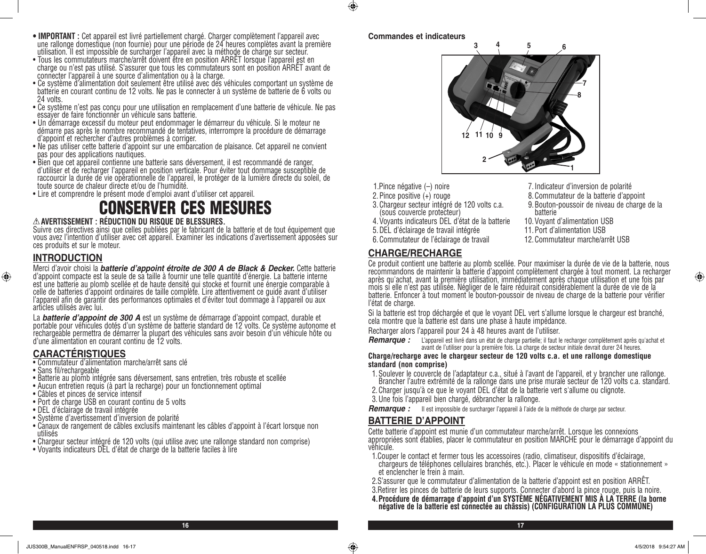- **IMPORTANT :** Cet appareil est livré partiellement chargé. Charger complètement l'appareil avec une rallonge domestique (non fournie) pour une période de 24 heures complètes avant la première utilisation. Il est impossible de surcharger l'appareil avec la méthode de charge sur secteur.<br>• Tous les commutateurs marche/arrêt doivent être en position ARRÉT lorsque l'appareil est en
- Tous les commutateurs marche/arrêt doivent être en position ARRET lorsque l'appareil est en<br>charge ou n'est pas utilisé. S'assurer que tous les commutateurs sont en position ARRÊT avant de connecter l'appareil à une source d'alimentation ou à la charge.
- Ce système d'alimentation doit seulement être utilisé avec des véhicules comportant un système de batterie en courant continu de 12 volts. Ne pas le connecter à un système de batterie de 6 volts ou 24 volts.
- Ce système n'est pas conçu pour une utilisation en remplacement d'une batterie de véhicule. Ne pas essayer de faire fonctionner un véhicule sans batterie.
- Un démarrage excessif du moteur peut endommager le démarreur du véhicule. Si le moteur ne démarre pas après le nombre recommandé de tentatives, interrompre la procédure de démarrage d'appoint et rechercher d'autres problèmes à corriger.
- Ne pas utiliser cette batterie d'appoint sur une embarcation de plaisance. Cet appareil ne convient pas pour des applications nautiques.
- Bien que cet appareil contienne une batterie sans déversement, il est recommandé de ranger, d'utiliser et de recharger l'appareil en position verticale. Pour éviter tout dommage susceptible de raccourcir la durée de vie opérationnelle de l'appareil, le protéger de la lumière directe du soleil, de toute source de chaleur directe et/ou de l'humidité.
- Lire et comprendre le présent mode d'emploi avant d'utiliser cet appareil.

# CONSERVER CES MESURES

#### **AVERTISSEMENT : RÉDUCTION DU RISQUE DE BLESSURES.**

Suivre ces directives ainsi que celles publiées par le fabricant de la batterie et de tout équipement que vous avez l'intention d'utiliser avec cet appareil. Examiner les indications d'avertissement apposées sur ces produits et sur le moteur.

## **INTRODUCTION**

⊕

Merci d'avoir choisi la *batterie d'appoint étroite de 300 A de Black & Decker.* Cette batterie d'appoint compacte est la seule de sa taille à fournir une telle quantité d'énergie. La batterie interne est une batterie au plomb scellée et de haute densité qui stocke et fournit une énergie comparable à celle de batteries d'appoint ordinaires de taille complète. Lire attentivement ce guide avant d'utiliser l'appareil afin de garantir des performances optimales et d'éviter tout dommage à l'appareil ou aux articles utilisés avec lui.

La *batterie d'appoint de 300 A* est un système de démarrage d'appoint compact, durable et<br>portable pour véhicules dotés d'un système de batterie standard de 12 volts. Ce système autonome et rechargeable permettra de démarrer la plupart des véhicules sans avoir besoin d'un véhicule hôte ou d'une alimentation en courant continu de 12 volts.

## **CARACTÉRISTIQUES**

• Commutateur d'alimentation marche/arrêt sans clé

- Sans fil/rechargeable
- Batterie au plomb intégrée sans déversement, sans entretien, très robuste et scellée
- Aucun entretien requis (à part la recharge) pour un fonctionnement optimal
- Câbles et pinces de service intensif
- Port de charge USB en courant continu de 5 volts
- DEL d'éclairage de travail intégrée
- Système d'avertissement d'inversion de polarité
- Canaux de rangement de câbles exclusifs maintenant les câbles d'appoint à l'écart lorsque non utilisés
- Chargeur secteur intégré de 120 volts (qui utilise avec une rallonge standard non comprise)
- Voyants indicateurs DEL d'état de charge de la batterie faciles à lire

#### **Commandes et indicateurs**

 $\bigcirc$ 



- 1.Pince négative (–) noire
- 2.Pince positive (+) rouge
- 3.Chargeur secteur intégré de 120 volts c.a. (sous couvercle protecteur)
- 4.Voyants indicateurs DEL d'état de la batterie
- 5.DEL d'éclairage de travail intégrée
- 6.Commutateur de l'éclairage de travail

# **CHARGE/RECHARGE**

- 7.Indicateur d'inversion de polarité
- 8.Commutateur de la batterie d'appoint
- 9.Bouton-poussoir de niveau de charge de la batterie
- 10.Voyant d'alimentation USB
- 11.Port d'alimentation USB
- 12.Commutateur marche/arrêt USB

⊕

Ce produit contient une batterie au plomb scellée. Pour maximiser la durée de vie de la batterie, nous recommandons de maintenir la batterie d'appoint complètement chargée à tout moment. La recharger après qu'achat, avant la première utilisation, immédiatement après chaque utilisation et une fois par mois si elle n'est pas utilisée. Négliger de le faire réduirait considérablement la durée de vie de la batterie. Enfoncer à tout moment le bouton-poussoir de niveau de charge de la batterie pour vérifier l'état de charge.

Si la batterie est trop déchargée et que le voyant DEL vert s'allume lorsque le chargeur est branché, cela montre que la batterie est dans une phase à haute impédance.

Recharger alors l'appareil pour 24 à 48 heures avant de l'utiliser.

*Remarque :* L'appareil est livré dans un état de charge partielle; il faut le recharger complètement après qu'achat et avant de l'utiliser pour la première fois. La charge de secteur initiale devrait durer 24 heures.

#### **Charge/recharge avec le chargeur secteur de 120 volts c.a. et une rallonge domestique standard (non comprise)**

- 1.Soulever le couvercle de l'adaptateur c.a., situé à l'avant de l'appareil, et y brancher une rallonge. Brancher l'autre extrémité de la rallonge dans une prise murale secteur de 120 volts c.a. standard.
- 2.Charger jusqu'à ce que le voyant DEL d'état de la batterie vert s'allume ou clignote.
- 3.Une fois l'appareil bien chargé, débrancher la rallonge.
- *Remarque :* Il est impossible de surcharger l'appareil à l'aide de la méthode de charge par secteur.

## **BATTERIE D'APPOINT**

Cette batterie d'appoint est munie d'un commutateur marche/arrêt. Lorsque les connexions appropriées sont établies, placer le commutateur en position MARCHE pour le démarrage d'appoint du véhicule.

- 1.Couper le contact et fermer tous les accessoires (radio, climatiseur, dispositifs d'éclairage, chargeurs de téléphones cellulaires branchés, etc.). Placer le véhicule en mode « stationnement » et enclencher le frein à main.
- 2.S'assurer que le commutateur d'alimentation de la batterie d'appoint est en position ARRÊT.
- 3.Retirer les pinces de batterie de leurs supports. Connecter d'abord la pince rouge, puis la noire.
- **4.Procédure de démarrage d'appoint d'un SYSTÈME NÉGATIVEMENT MIS À LA TERRE (la borne négative de la batterie est connectée au châssis) (CONFIGURATION LA PLUS COMMUNE)**

**16 17**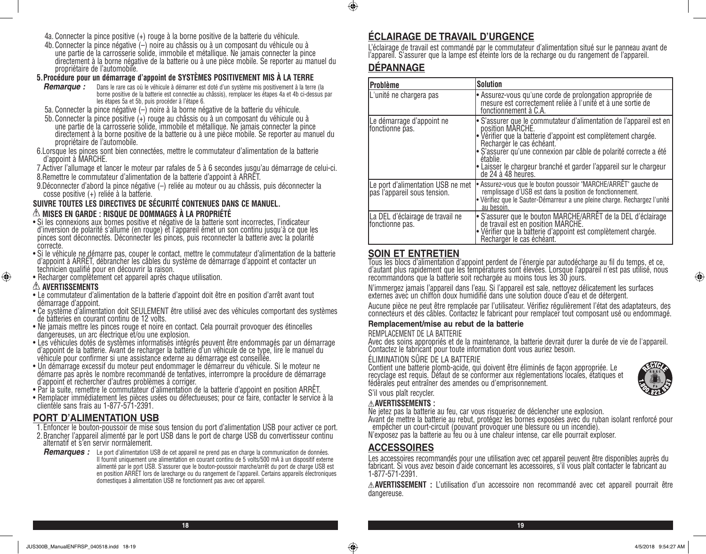- 4a. Connecter la pince positive (+) rouge à la borne positive de la batterie du véhicule.
- 4b.Connecter la pince négative (–) noire au châssis ou à un composant du véhicule ou à une partie de la carrosserie solide, immobile et métallique. Ne jamais connecter la pince directement à la borne négative de la batterie ou à une pièce mobile. Se reporter au manuel du propriétaire de l'automobile.

#### **5.Procédure pour un démarrage d'appoint de SYSTÈMES POSITIVEMENT MIS À LA TERRE**

- *Remarque :* Dans le rare cas où le véhicule à démarrer est doté d'un système mis positivement à la terre (la borne positive de la batterie est connectée au châssis), remplacer les étapes 4a et 4b ci-dessus par les étapes 5a et 5b, puis procéder à l'étape 6.
- 5a. Connecter la pince négative (–) noire à la borne négative de la batterie du véhicule.
- 5b.Connecter la pince positive (+) rouge au châssis ou à un composant du véhicule ou à une partie de la carrosserie solide, immobile et métallique. Ne jamais connecter la pince directement à la borne positive de la batterie ou à une pièce mobile. Se reporter au manuel du propriétaire de l'automobile.
- 6.Lorsque les pinces sont bien connectées, mettre le commutateur d'alimentation de la batterie d'appoint à MARCHE.
- 7.Activer l'allumage et lancer le moteur par rafales de 5 à 6 secondes jusqu'au démarrage de celui-ci.
- 8.Remettre le commutateur d'alimentation de la batterie d'appoint à ARRÊT.
- 9.Déconnecter d'abord la pince négative (–) reliée au moteur ou au châssis, puis déconnecter la cosse positive (+) reliée à la batterie.

#### **SUIVRE TOUTES LES DIRECTIVES DE SÉCURITÉ CONTENUES DANS CE MANUEL. MISES EN GARDE : RISQUE DE DOMMAGES À LA PROPRIÉTÉ**

- Si les connexions aux bornes positive et négative de la batterie sont incorrectes, l'indicateur d'inversion de polarité s'allume (en rouge) et l'appareil émet un son continu jusqu'à ce que les pinces sont déconnectés. Déconnecter les pinces, puis reconnecter la batterie avec la polarité
- correcte.<br>• Si le véhicule ne démarre pas, couper le contact, mettre le commutateur d'alimentation de la batterie d'appoint à ARRÊT, débrancher les câbles du système de démarrage d'appoint et contacter un technicien qualifié pour en découvrir la raison.
- Recharger complètement cet appareil après chaque utilisation.

#### **AVERTISSEMENTS**

⊕

- Le commutateur d'alimentation de la batterie d'appoint doit être en position d'arrêt avant tout démarrage d'appoint.
- Ce système d'alimentation doit SEULEMENT être utilisé avec des véhicules comportant des systèmes de batteries en courant continu de 12 volts.
- Ne jamais mettre les pinces rouge et noire en contact. Cela pourrait provoquer des étincelles dangereuses, un arc électrique et/ou une explosion.
- Les véhicules dotés de systèmes informatisés intégrés peuvent être endommagés par un démarrage d'appoint de la batterie. Avant de recharger la batterie d'un véhicule de ce type, lire le manuel du véhicule pour confirmer si une assistance externe au démarrage est conseillée.
- Un démarrage excessif du moteur peut endommager le démarreur du véhicule. Si le moteur ne démarre pas après le nombre recommandé de tentatives, interrompre la procédure de démarrage d'appoint et rechercher d'autres problèmes à corriger.
- Par la suite, remettre le commutateur d'alimentation de la batterie d'appoint en position ARRÊT.
- Remplacer immédiatement les pièces usées ou défectueuses; pour ce faire, contacter le service à la clientèle sans frais au 1-877-571-2391.

#### **PORT D'ALIMENTATION USB**

1.Enfoncer le bouton-poussoir de mise sous tension du port d'alimentation USB pour activer ce port.

- 2.Brancher l'appareil alimenté par le port USB dans le port de charge USB du convertisseur continu alternatif et s'en servir normalement.
- *Remarques :* Le port d'alimentation USB de cet appareil ne prend pas en charge la communication de données. Il fournit uniquement une alimentation en courant continu de 5 volts/500 mA à un dispositif externe alimenté par le port USB. S'assurer que le bouton-poussoir marche/arrêt du port de charge USB est en position ARRÊT lors de larecharge ou du rangement de l'appareil. Certains appareils électroniques domestiques à alimentation USB ne fonctionnent pas avec cet appareil.

## **ÉCLAIRAGE DE TRAVAIL D'URGENCE**

L'éclairage de travail est commandé par le commutateur d'alimentation situé sur le panneau avant de l'appareil. S'assurer que la lampe est éteinte lors de la recharge ou du rangement de l'appareil.

## **DÉPANNAGE**

 $\bigcirc$ 

| Problème                                                          | <b>Solution</b>                                                                                                                                                                                                                                                                                                                                                  |
|-------------------------------------------------------------------|------------------------------------------------------------------------------------------------------------------------------------------------------------------------------------------------------------------------------------------------------------------------------------------------------------------------------------------------------------------|
| L'unité ne chargera pas                                           | • Assurez-vous qu'une corde de prolongation appropriée de<br>mesure est correctement reliée à l'unité et à une sortie de<br>fonctionnement à C.A.                                                                                                                                                                                                                |
| Le démarrage d'appoint ne<br>fonctionne pas.                      | • S'assurer que le commutateur d'alimentation de l'appareil est en<br>position MARCHE.<br>• Vérifier que la batterie d'appoint est complètement chargée.<br>Recharger le cas échéant.<br>· S'assurer qu'une connexion par câble de polarité correcte a été<br>établie.<br>Laisser le chargeur branché et garder l'appareil sur le chargeur<br>de 24 à 48 heures. |
| Le port d'alimentation USB ne met<br>pas l'appareil sous tension. | • Assurez-vous que le bouton poussoir "MARCHE/ARRÊT" gauche de<br>remplissage d'USB est dans la position de fonctionnement.<br>• Vérifiez que le Sauter-Démarreur a une pleine charge. Rechargez l'unité<br>au besoin.                                                                                                                                           |
| La DEL d'éclairage de travail ne<br>fonctionne pas.               | · S'assurer que le bouton MARCHE/ARRÊT de la DEL d'éclairage<br>de travail est en position MARCHE.<br>• Vérifier que la batterie d'appoint est complètement chargée.<br>Recharger le cas échéant.                                                                                                                                                                |

#### **SOIN ET ENTRETIEN**

Tous les blocs d'alimentation d'appoint perdent de l'énergie par autodécharge au fil du temps, et ce, d'autant plus rapidement que les températures sont élevées. Lorsque l'appareil n'est pas utilisé, nous recommandons que la batterie soit rechargée au moins tous les 30 jours.

N'immergez jamais l'appareil dans l'eau. Si l'appareil est sale, nettoyez délicatement les surfaces externes avec un chiffon doux humidifié dans une solution douce d'eau et de détergent.

Aucune pièce ne peut être remplacée par l'utilisateur. Vérifiez régulièrement l'état des adaptateurs, des connecteurs et des câbles. Contactez le fabricant pour remplacer tout composant usé ou endommagé.

#### **Remplacement/mise au rebut de la batterie**

#### REMPLACEMENT DE LA BATTERIE

Avec des soins appropriés et de la maintenance, la batterie devrait durer la durée de vie de l'appareil. Contactez le fabricant pour toute information dont vous auriez besoin.

#### ÉLIMINATION SÛRE DE LA BATTERIE

Contient une batterie plomb-acide, qui doivent être éliminés de façon appropriée. Le recyclage est requis. Défaut de se conformer aux réglementations locales, étatiques et fédérales peut entraîner des amendes ou d'emprisonnement.



⊕

#### S'il vous plaît recycler. **AVERTISSEMENTS :**

Ne jetez pas la batterie au feu, car vous risqueriez de déclencher une explosion.

Avant de mettre la batterie au rebut, protégez les bornes exposées avec du ruban isolant renforcé pour empêcher un court-circuit (pouvant provoquer une blessure ou un incendie).

N'exposez pas la batterie au feu ou à une chaleur intense, car elle pourrait exploser.

#### **ACCESSOIRES**

Les accessoires recommandés pour une utilisation avec cet appareil peuvent être disponibles auprès du fabricant. Si vous avez besoin d'aide concernant les accessoires, s'il vous plaît contacter le fabricant au 1-877-571-2391.

**AVERTISSEMENT :** L'utilisation d'un accessoire non recommandé avec cet appareil pourrait être dangereuse.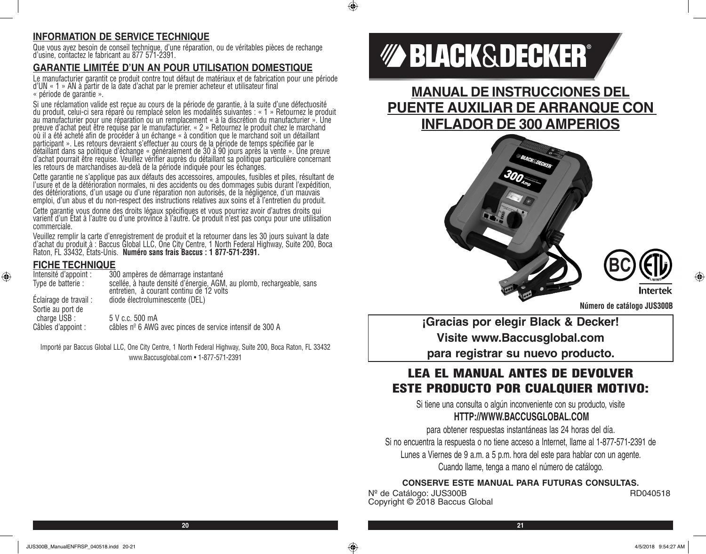# **INFORMATION DE SERVICE TECHNIQUE**

Que vous ayez besoin de conseil technique, d'une réparation, ou de véritables pièces de rechange d'usine, contactez le fabricant au 877 571-2391.

# **GARANTIE LIMITÉE D'UN AN POUR UTILISATION DOMESTIQUE**

Le manufacturier garantit ce produit contre tout défaut de matériaux et de fabrication pour une période d'UN « 1 » AN à partir de la date d'achat par le premier acheteur et utilisateur final « période de garantie ».

Si une réclamation valide est reçue au cours de la période de garantie, à la suite d'une défectuosité du produit, celui-ci sera réparé ou remplacé selon les modalités suivantes : « 1 » Retournez le produit au manufacturier pour une réparation ou un remplacement « à la discrétion du manufacturier ». Une preuve d'achat peut être requise par le manufacturier. « 2 » Retournez le produit chez le marchand où il a été acheté afin de procéder à un échange « à condition que le marchand soit un détaillant participant ». Les retours devraient s'effectuer au cours de la période de temps spécifiée par le détaillant dans sa politique d'échange « généralement de 30 à 90 jours après la vente ». Une preuve d'achat pourrait être requise. Veuillez vérifier auprès du détaillant sa politique particulière concernant les retours de marchandises au-delà de la période indiquée pour les échanges.

Cette garantie ne s'applique pas aux défauts des accessoires, ampoules, fusibles et piles, résultant de l'usure et de la détérioration normales, ni des accidents ou des dommages subis durant l'expédition, des détériorations, d'un usage ou d'une réparation non autorisés, de la négligence, d'un mauvais emploi, d'un abus et du non-respect des instructions relatives aux soins et à l'entretien du produit.

Cette garantie vous donne des droits légaux spécifiques et vous pourriez avoir d'autres droits qui varient d'un État à l'autre ou d'une province à l'autre. Ce produit n'est pas conçu pour une utilisation commerciale.

Veuillez remplir la carte d'enregistrement de produit et la retourner dans les 30 jours suivant la date d'achat du produit à : Baccus Global LLC, One City Centre, 1 North Federal Highway, Suite 200, Boca<br>Raton, FL 33432, États-Unis. **Numéro sans frais Baccus : 1 877-571-2391.** 

#### **FICHE TECHNIQUE**

⊕

| Intensité d'appoint :                       | 300 ampères de démarrage instantané                                                                               |
|---------------------------------------------|-------------------------------------------------------------------------------------------------------------------|
| Type de batterie :                          | scellée, à haute densité d'énergie, AGM, au plomb, rechargeable, sans<br>entretien, à courant continu de 12 volts |
| Éclairage de travail :<br>Sortie au port de | diode électroluminescente (DEL)                                                                                   |
| charge USB :                                | 5 V c.c. 500 mA                                                                                                   |
| Câbles d'appoint :                          | câbles nº 6 AWG avec pinces de service intensif de 300 A                                                          |

Importé par Baccus Global LLC, One City Centre, 1 North Federal Highway, Suite 200, Boca Raton, FL 33432 www.Baccusglobal.com • 1-877-571-2391

# *MA BLACK&DECKER®*

 $\bigcirc$ 

**MANUAL DE INSTRUCCIONES DEL PUENTE AUXILIAR DE ARRANQUE CON INFLADOR DE 300 AMPERIOS**





**Intertek** 

**¡Gracias por elegir Black & Decker! Visite www.Baccusglobal.com para registrar su nuevo producto.**

# LEA EL MANUAL ANTES DE DEVOLVER ESTE PRODUCTO POR CUALQUIER MOTIVO:

Si tiene una consulta o algún inconveniente con su producto, visite **HTTP://WWW.BACCUSGLOBAL.COM**

para obtener respuestas instantáneas las 24 horas del día. Si no encuentra la respuesta o no tiene acceso a Internet, llame al 1-877-571-2391 de Lunes a Viernes de 9 a.m. a 5 p.m. hora del este para hablar con un agente. Cuando llame, tenga a mano el número de catálogo.

## **CONSERVE ESTE MANUAL PARA FUTURAS CONSULTAS.**

N<sup>º</sup> de Catálogo: JUS300B RD040518 Copyright © 2018 Baccus Global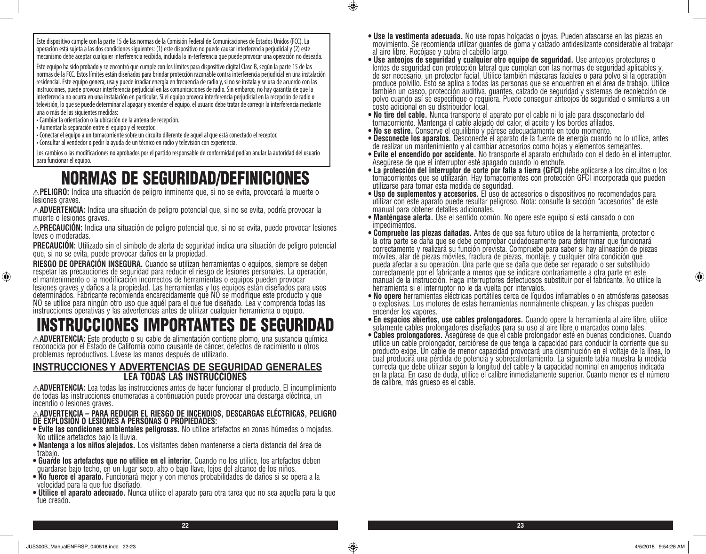Este dispositivo cumple con la parte 15 de las normas de la Comisión Federal de Comunicaciones de Estados Unidos (FCC). La operación está sujeta a las dos condiciones siguientes: (1) este dispositivo no puede causar interferencia perjudicial y (2) este mecanismo debe aceptar cualquier interferencia recibida, incluida la in-terferencia que puede provocar una operación no deseada.

Este equipo ha sido probado y se encontró que cumple con los límites para dispositivo digital Clase B, según la parte 15 de las normas de la FCC. Estos límites están diseñados para brindar protección razonable contra interferencia perjudicial en una instalación residencial. Este equipo genera, usa y puede irradiar energía en frecuencia de radio y, si no se instala y se usa de acuerdo con las instrucciones, puede provocar interferencia perjudicial en las comunicaciones de radio. Sin embargo, no hay garantía de que la interferencia no ocurra en una instalación en particular. Si el equipo provoca interferencia perjudicial en la recepción de radio o televisión, lo que se puede determinar al apagar y encender el equipo, el usuario debe tratar de corregir la interferencia mediante una o más de las siguientes medidas:

• Cambiar la orientación o la ubicación de la antena de recepción.

• Aumentar la separación entre el equipo y el receptor.

⊕

• Conectar el equipo a un tomacorriente sobre un circuito diferente de aquel al que está conectado el receptor.

• Consultar al vendedor o pedir la ayuda de un técnico en radio y televisión con experiencia.

Los cambios o las modificaciones no aprobados por el partido responsable de conformidad podían anular la autoridad del usuario para funcionar el equipo.

# NORMAS DE SEGURIDAD/DEFINICIONES

**PELIGRO:** Indica una situación de peligro inminente que, si no se evita, provocará la muerte o lesiones graves.

**ADVERTENCIA:** Indica una situación de peligro potencial que, si no se evita, podría provocar la muerte o lesiones graves.

**PRECAUCIÓN:** Indica una situación de peligro potencial que, si no se evita, puede provocar lesiones leves o moderadas.

**PRECAUCIÓN:** Utilizado sin el símbolo de alerta de seguridad indica una situación de peligro potencial que, si no se evita, puede provocar daños en la propiedad.

**RIESGO DE OPERACIÓN INSEGURA.** Cuando se utilizan herramientas o equipos, siempre se deben respetar las precauciones de seguridad para reducir el riesgo de lesiones personales. La operación, el mantenimiento o la modificación incorrectos de herramientas o equipos pueden provocar lesiones graves y daños a la propiedad. Las herramientas y los equipos están diseñados para usos determinados. Fabricante recomienda encarecidamente que NO se modifique este producto y que NO se utilice para ningún otro uso que aquél para el que fue diseñado. Lea y comprenda todas las instrucciones operativas y las advertencias antes de utilizar cualquier herramienta o equipo.

# INSTRUCCIONES IMPORTANTES DE SEGURIDAD<br>AADVERTENCIA: Este producto o su cable de alimentación contiene plomo, una sustancia química

reconocida por el Estado de California como causante de cáncer, defectos de nacimiento u otros problemas reproductivos. Lávese las manos después de utilizarlo.

#### **INSTRUCCIONES Y ADVERTENCIAS DE SEGURIDAD GENERALES LEA TODAS LAS INSTRUCCIONES**

**ADVERTENCIA:** Lea todas las instrucciones antes de hacer funcionar el producto. El incumplimiento de todas las instrucciones enumeradas a continuación puede provocar una descarga eléctrica, un incendio o lesiones graves.

# **ADVERTENCIA – PARA REDUCIR EL RIESGO DE INCENDIOS, DESCARGAS ELÉCTRICAS, PELIGRO DE EXPLOSIÓN O LESIONES A PERSONAS O PROPIEDADES:**

- **Evite las condiciones ambientales peligrosas.** No utilice artefactos en zonas húmedas o mojadas. No utilice artefactos bajo la lluvia.
- **Mantenga a los niños alejados.** Los visitantes deben mantenerse a cierta distancia del área de trabajo.
- **Guarde los artefactos que no utilice en el interior.** Cuando no los utilice, los artefactos deben guardarse bajo techo, en un lugar seco, alto o bajo llave, lejos del alcance de los niños.
- **No fuerce el aparato.** Funcionará mejor y con menos probabilidades de daños si se opera a la velocidad para la que fue diseñado.
- **Utilice el aparato adecuado.** Nunca utilice el aparato para otra tarea que no sea aquella para la que fue creado.
- **Use la vestimenta adecuada.** No use ropas holgadas o joyas. Pueden atascarse en las piezas en movimiento. Se recomienda utilizar guantes de goma y calzado antideslizante considerable al trabajar
- al aire libre. Recójase y cubra el cabello largo.<br>• Use anteojos de seguridad y cualquier otro equipo de seguridad. Use anteojos protectores o lentes de seguridad con protección lateral que cumplan con las normas de seguridad aplicables y, de ser necesario, un protector facial. Utilice también máscaras faciales o para polvo si la operación produce polvillo. Esto se aplica a todas las personas que se encuentren en el área de trabajo. Utilice también un casco, protección auditiva, guantes, calzado de seguridad y sistemas de recolección de polvo cuando así se especifique o requiera. Puede conseguir anteojos de seguridad o similares a un costo adicional en su distribuidor local.
- **No tire del cable.** Nunca transporte el aparato por el cable ni lo jale para desconectarlo del tomacorriente. Mantenga el cable alejado del calor, el aceite y los bordes afilados.
- **No se estire.** Conserve el equilibrio y párese adecuadamente en todo momento.

- **Desconecte los aparatos.** Desconecte el aparato de la fuente de energía cuando no lo utilice, antes de realizar un mantenimiento y al cambiar accesorios como hojas y elementos semejantes.
- **Evite el encendido por accidente.** No transporte el aparato enchufado con el dedo en el interruptor. Asegúrese de que el interruptor esté apagado cuando lo enchufe.
- tomacorrientes que se utilizarán. Hay tomacorrientes con protección GFCI incorporada que pueden utilizarse para tomar esta medida de seguridad.<br>• Uso de suplementos y accesorios. El uso de accesorios o dispositivos no recomendados para
- utilizar con este aparato puede resultar peligroso. Nota: consulte la sección "accesorios" de este manual para obtener detalles adicionales.
- **Manténgase alerta.** Use el sentido común. No opere este equipo si está cansado o con impedimentos.
- la otra parte se daña que se debe comprobar cuidadosamente para determinar que funcionará correctamente y realizará su función prevista. Compruebe para saber si hay alineación de piezas móviles, atar de piezas móviles, fractura de piezas, montaje, y cualquier otra condición que pueda afectar a su operación. Una parte que se daña que debe ser reparado o ser substituido correctamente por el fabricante a menos que se indicare contrariamente a otra parte en este manual de la instrucción. Haga interruptores defectuosos substituir por el fabricante. No utilice la
- herramienta si el interruptor no le da vuelta por intervalos.<br>• No opere herramientas eléctricas portátiles cerca de líquidos inflamables o en atmósferas gaseosas o explosivas. Los motores de estas herramientas normalmente chispean, y las chispas pueden encender los vapores.
- **En espacios abiertos, use cables prolongadores.** Cuando opere la herramienta al aire libre, utilice solamente cables prolongadores diseñados para su uso al aire libre o marcados como tales.
- **Cables prolongadores.** Asegúrese de que el cable prolongador esté en buenas condiciones. Cuando utilice un cable prolongador, cerciórese de que tenga la capacidad para conducir la corriente que su producto exige. Un cable de menor capacidad provocará una disminución en el voltaje de la línea, lo cual producirá una pérdida de potencia y sobrecalentamiento. La siguiente tabla muestra la medida correcta que debe utilizar según la longitud del cable y la capacidad nominal en amperios indicada en la placa. En caso de duda, utilice el calibre inmediatamente superior. Cuanto menor es el número de calibre, más grueso es el cable.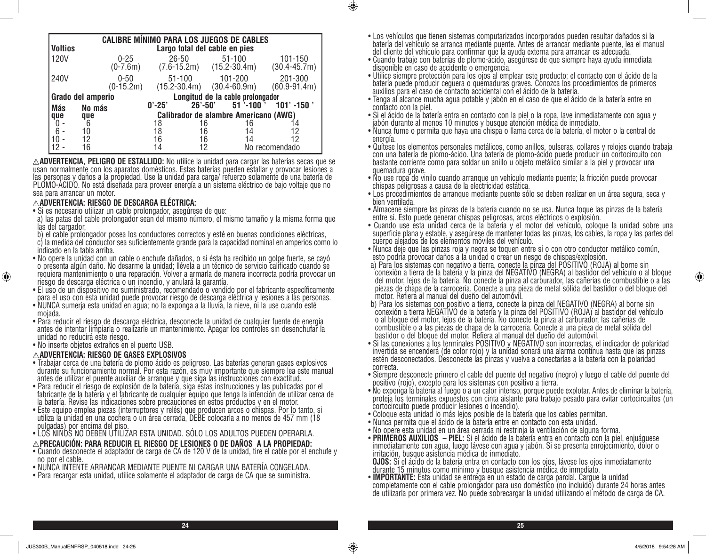|                | <b>CALIBRE MÍNIMO PARA LOS JUEGOS DE CABLES</b> |                         |                                              |                                  |                                                |              |                             |  |  |
|----------------|-------------------------------------------------|-------------------------|----------------------------------------------|----------------------------------|------------------------------------------------|--------------|-----------------------------|--|--|
| <b>Voltios</b> |                                                 |                         | Largo total del cable en pies                |                                  |                                                |              |                             |  |  |
| <b>120V</b>    |                                                 | $0 - 25$<br>$(0-7.6m)$  | $26 - 50$                                    |                                  | $51 - 100$<br>$(7.6 - 15.2m)$ $(15.2 - 30.4m)$ |              | 101-150<br>$(30.4 - 45.7m)$ |  |  |
| 240V           |                                                 | $0 - 50$<br>$(0-15.2m)$ |                                              | $51 - 100$<br>$(15.2 - 30.4m)$   | 101-200<br>$(30.4 - 60.9m)$                    |              | 201-300<br>$(60.9 - 91.4m)$ |  |  |
|                | Grado del amperio                               |                         |                                              | Longitud de la cable prolongador |                                                |              |                             |  |  |
| <b>Más</b>     | No más                                          |                         | $0' - 25'$                                   | $26' - 50'$                      |                                                | $51$ '-100 ' | $101'$ -150 $'$             |  |  |
| que            | que                                             |                         | <b>Calibrador de alambre Americano (AWG)</b> |                                  |                                                |              |                             |  |  |
|                | 6                                               |                         | 18                                           | 16                               |                                                | 16           |                             |  |  |
| 6              | 10                                              |                         | 18                                           | 16                               |                                                | 14           | 12                          |  |  |
|                | 12                                              |                         | 16                                           | 16                               |                                                | 14           | 12                          |  |  |
|                | 16                                              |                         | 14                                           | 12                               |                                                |              | No recomendado              |  |  |

**ADVERTENCIA, PELIGRO DE ESTALLIDO:** No utilice la unidad para cargar las baterías secas que se usan normalmente con los aparatos domésticos. Estas baterías pueden estallar y provocar lesiones a las personas y daños a la propiedad. Use la unidad para carga/ refuerzo solamente de una batería de PLOMO-ÁCIDO. No está diseñada para proveer energía a un sistema eléctrico de bajo voltaje que no sea para arrancar un motor.

#### **ADVERTENCIA: RIESGO DE DESCARGA ELÉCTRICA:**

- Si es necesario utilizar un cable prolongador, asegúrese de que:
- a) las patas del cable prolongador sean del mismo número, el mismo tamaño y la misma forma que las del cargador,
- b) el cable prolongador posea los conductores correctos y esté en buenas condiciones eléctricas, c) la medida del conductor sea suficientemente grande para la capacidad nominal en amperios como lo indicado en la tabla arriba.
- No opere la unidad con un cable o enchufe dañados, o si ésta ha recibido un golpe fuerte, se cayó o presenta algún daño. No desarme la unidad; llévela a un técnico de servicio calificado cuando se requiera mantenimiento o una reparación. Volver a armarla de manera incorrecta podría provocar un riesgo de descarga eléctrica o un incendio, y anulará la garantía.
- El uso de un dispositivo no suministrado, recomendado o vendido por el fabricante específicamente para el uso con esta unidad puede provocar riesgo de descarga eléctrica y lesiones a las personas.
- NUNCA sumerja esta unidad en agua; no la exponga a la lluvia, la nieve, ni la use cuando esté mojada.
- Para reducir el riesgo de descarga eléctrica, desconecte la unidad de cualquier fuente de energía antes de intentar limpiarla o realizarle un mantenimiento. Apagar los controles sin desenchufar la unidad no reducirá este riesgo.
- No inserte objetos extraños en el puerto USB.

⊕

#### **ADVERTENCIA: RIESGO DE GASES EXPLOSIVOS**

- Trabajar cerca de una batería de plomo ácido es peligroso. Las baterías generan gases explosivos durante su funcionamiento normal. Por esta razón, es muy importante que siempre lea este manual antes de utilizar el puente auxiliar de arranque y que siga las instrucciones con exactitud.
- Para reducir el riesgo de explosión de la batería, siga estas instrucciones y las publicadas por el fabricante de la batería y el fabricante de cualquier equipo que tenga la intención de utilizar cerca de la batería. Revise las indicaciones sobre precauciones en estos productos y en el motor.
- Este equipo emplea piezas (interruptores y relés) que producen arcos o chispas. Por lo tanto, si utiliza la unidad en una cochera o un área cerrada, DEBE colocarla a no menos de 457 mm (18 pulgadas) por encima del piso.
- LOS NIÑOS NO DEBEN UTILIZAR ESTA UNIDAD. SÓLO LOS ADULTOS PUEDEN OPERARLA.
- **PRECAUCIÓN: PARA REDUCIR EL RIESGO DE LESIONES O DE DAÑOS A LA PROPIEDAD:**
- Cuando desconecte el adaptador de carga de CA de 120 V de la unidad, tire el cable por el enchufe y no por el cable.
- NUNCA INTENTE ARRANCAR MEDIANTE PUENTE NI CARGAR UNA BATERÍA CONGELADA.
- Para recargar esta unidad, utilice solamente el adaptador de carga de CA que se suministra.
- Los vehículos que tienen sistemas computarizados incorporados pueden resultar dañados si la batería del vehículo se arranca mediante puente. Antes de arrancar mediante puente, lea el manual del cliente del vehículo para confirmar que la ayuda externa para arrancar es adecuada.
- Cuando trabaje con baterías de plomo-ácido, asegúrese de que siempre haya ayuda inmediata disponible en caso de accidente o emergencia.
- Utilice siempre protección para los ojos al emplear este producto; el contacto con el ácido de la batería puede producir ceguera o quemaduras graves. Conozca los procedimientos de primeros auxilios para el caso de contacto accidental con el ácido de la batería.
- Tenga al alcance mucha agua potable y jabón en el caso de que el ácido de la batería entre en contacto con la piel.
- Si el ácido de la batería entra en contacto con la piel o la ropa, lave inmediatamente con agua y jabón durante al menos 10 minutos y busque atención médica de inmediato.
- Nunca fume o permita que haya una chispa o llama cerca de la batería, el motor o la central de energía.
- Quítese los elementos personales metálicos, como anillos, pulseras, collares y relojes cuando trabaja con una batería de plomo-ácido. Una batería de plomo-ácido puede producir un cortocircuito con bastante corriente como para soldar un anillo u objeto metálico similar a la piel y provocar una quemadura grave.
- No use ropa de vinilo cuando arranque un vehículo mediante puente; la fricción puede provocar chispas peligrosas a causa de la electricidad estática.
- Los procedimientos de arranque mediante puente sólo se deben realizar en un área segura, seca y bien ventilada.
- Almacene siempre las pinzas de la batería cuando no se usa. Nunca toque las pinzas de la batería entre sí. Esto puede generar chispas peligrosas, arcos eléctricos o explosión.
- Cuando use esta unidad cerca de la batería y el motor del vehículo, coloque la unidad sobre una superficie plana y estable, y asegúrese de mantener todas las pinzas, los cables, la ropa y las partes del cuerpo alejados de los elementos móviles del vehículo.
- Nunca deje que las pinzas roja y negra se toquen entre sí o con otro conductor metálico común, esto podría provocar daños a la unidad o crear un riesgo de chispas/explosión.
- a) Para los sistemas con negativo a tierra, conecte la pinza del POSITIVO (ROJA) al borne sin conexión a tierra de la batería y la pinza del NEGATIVO (NEGRA) al bastidor del vehículo o al bloque del motor, lejos de la batería. No conecte la pinza al carburador, las cañerías de combustible o a las piezas de chapa de la carrocería. Conecte a una pieza de metal sólida del bastidor o del bloque del motor. Refiera al manual del dueño del automóvil.
- b) Para los sistemas con positivo a tierra, conecte la pinza del NEGATIVO (NEGRA) al borne sin conexión a tierra NEGATIVO de la batería y la pinza del POSITIVO (ROJA) al bastidor del vehículo o al bloque del motor, lejos de la batería. No conecte la pinza al carburador, las cañerías de combustible o a las piezas de chapa de la carrocería. Conecte a una pieza de metal sólida del bastidor o del bloque del motor. Refiera al manual del dueño del automóvil.
- Si las conexiones a los terminales POSITIVO y NEGATIVO son incorrectas, el indicador de polaridad invertida se encenderá (de color rojo) y la unidad sonará una alarma continua hasta que las pinzas estén desconectados. Desconecte las pinzas y vuelva a conectarlas a la batería con la polaridad correcta.
- Siempre desconecte primero el cable del puente del negativo (negro) y luego el cable del puente del positivo (rojo), excepto para los sistemas con positivo a tierra.
- No exponga la batería al fuego o a un calor intenso, porque puede explotar. Antes de eliminar la batería, proteja los terminales expuestos con cinta aislante para trabajo pesado para evitar cortocircuitos (un cortocircuito puede producir lesiones o incendio).
- Coloque esta unidad lo más lejos posible de la batería que los cables permitan.
- Nunca permita que el ácido de la batería entre en contacto con esta unidad.

**24 25**

- No opere esta unidad en un área cerrada ni restrinja la ventilación de alguna forma.<br>• PRIMEROS AUXILIOS PIEL: Si el ácido de la batería entra en contacto con la piel, enjuáguese
- inmediatamente con agua, luego lávese con agua y jabón. Si se presenta enrojecimiento, dolor o irritación, busque asistencia médica de inmediato.
- **OJOS:** Si el ácido de la batería entra en contacto con los ojos, lávese los ojos inmediatamente<br>durante 15 minutos como mínimo y busque asistencia médica de inmediato.<br>• **IMPORTANTE:** Esta unidad se entrega en un estado d
- **IMPORTANTE:** Esta unidad se entrega en un estado de carga parcial. Cargue la unidad completamente con el cable prolongador para uso doméstico (no incluido) durante 24 horas antes de utilizarla por primera vez. No puede sobrecargar la unidad utilizando el método de carga de CA.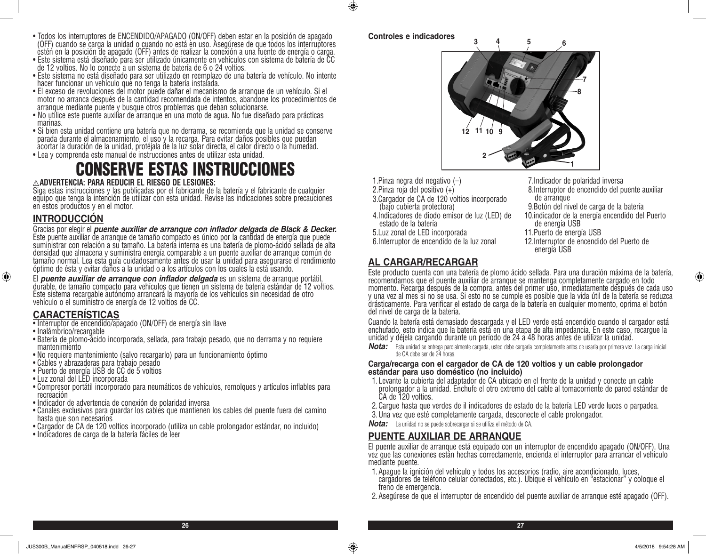- Todos los interruptores de ENCENDIDO/APAGADO (ON/OFF) deben estar en la posición de apagado (OFF) cuando se carga la unidad o cuando no está en uso. Asegúrese de que todos los interruptores estén en la posición de apagado (OFF) antes de realizar la conexión a una fuente de energía o carga.
- Este sistema está diseñado para ser utilizado únicamente en vehículos con sistema de batería de CC de 12 voltios. No lo conecte a un sistema de batería de 6 o 24 voltios.
- Este sistema no está diseñado para ser utilizado en reemplazo de una batería de vehículo. No intente hacer funcionar un vehículo que no tenga la batería instalada.
- El exceso de revoluciones del motor puede dañar el mecanismo de arranque de un vehículo. Si el motor no arranca después de la cantidad recomendada de intentos, abandone los procedimientos de arranque mediante puente y busque otros problemas que deban solucionarse.
- No utilice este puente auxiliar de arranque en una moto de agua. No fue diseñado para prácticas marinas.
- Si bien esta unidad contiene una batería que no derrama, se recomienda que la unidad se conserve parada durante el almacenamiento, el uso y la recarga. Para evitar daños posibles que puedan acortar la duración de la unidad, protéjala de la luz solar directa, el calor directo o la humedad.
- Lea y comprenda este manual de instrucciones antes de utilizar esta unidad.

# CONSERVE ESTAS INSTRUCCIONES

#### **ADVERTENCIA: PARA REDUCIR EL RIESGO DE LESIONES:**

Siga estas instrucciones y las publicadas por el fabricante de la batería y el fabricante de cualquier equipo que tenga la intención de utilizar con esta unidad. Revise las indicaciones sobre precauciones en estos productos y en el motor.

## **INTRODUCCIÓN**

Gracias por elegir el *puente auxiliar de arranque con inflador delgada de Black & Decker.* Este puente auxiliar de arranque de tamaño compacto es único por la cantidad de energía que puede suministrar con relación a su tamaño. La batería interna es una batería de plomo-ácido sellada de alta densidad que almacena y suministra energía comparable a un puente auxiliar de arranque común de tamaño normal. Lea esta guía cuidadosamente antes de usar la unidad para asegurarse el rendimiento óptimo de ésta y evitar daños a la unidad o a los artículos con los cuales la está usando.

El *puente auxiliar de arranque con inflador delgada* es un sistema de arranque portátil, durable, de tamaño compacto para vehículos que tienen un sistema de batería estándar de 12 voltios. Este sistema recargable autónomo arrancará la mayoría de los vehículos sin necesidad de otro vehículo o el suministro de energía de 12 voltios de CC.

# **CARACTERÍSTICAS**

- Interruptor de encendido/apagado (ON/OFF) de energía sin llave
- Inalámbrico/recargable

⊕

- Batería de plomo-ácido incorporada, sellada, para trabajo pesado, que no derrama y no requiere mantenimiento
- No requiere mantenimiento (salvo recargarlo) para un funcionamiento óptimo
- Cables y abrazaderas para trabajo pesado
- Puerto de energía USB de CC de 5 voltios
- Luz zonal del LED incorporada
- Compresor portátil incorporado para neumáticos de vehículos, remolques y artículos inflables para recreación
- Indicador de advertencia de conexión de polaridad inversa
- Canales exclusivos para guardar los cables que mantienen los cables del puente fuera del camino hasta que son necesarios
- Cargador de CA de 120 voltios incorporado (utiliza un cable prolongador estándar, no incluido)
- Indicadores de carga de la batería fáciles de leer



 $\bigcirc$ 



- 1.Pinza negra del negativo (–)
- 2.Pinza roja del positivo (+)
- 3.Cargador de CA de 120 voltios incorporado (bajo cubierta protectora)
- 4.Indicadores de diodo emisor de luz (LED) de estado de la batería
- 5.Luz zonal de LED incorporada
- 6.Interruptor de encendido de la luz zonal
- 10.indicador de la energía encendido del Puerto de energía USB 11.Puerto de energía USB

de arranque

12.Interruptor de encendido del Puerto de energía USB

9.Botón del nivel de carga de la batería

8.Interruptor de encendido del puente auxiliar

7.Indicador de polaridad inversa

# **AL CARGAR/RECARGAR**

Este producto cuenta con una batería de plomo ácido sellada. Para una duración máxima de la batería, recomendamos que el puente auxiliar de arranque se mantenga completamente cargado en todo momento. Recarga después de la compra, antes del primer uso, inmediatamente después de cada uso y una vez al mes si no se usa. Si esto no se cumple es posible que la vida útil de la batería se reduzca drásticamente. Para verificar el estado de carga de la batería en cualquier momento, oprima el botón del nivel de carga de la batería.

Cuando la batería está demasiado descargada y el LED verde está encendido cuando el cargador está enchufado, esto indica que la batería está en una etapa de alta impedancia. En este caso, recargue la unidad y déjela cargando durante un período de 24 a 48 horas antes de utilizar la unidad.

*Nota:* Esta unidad se entrega parcialmente cargada, usted debe cargarla completamente antes de usarla por primera vez. La carga inicial de CA debe ser de 24 horas.

#### **Carga/recarga con el cargador de CA de 120 voltios y un cable prolongador estándar para uso doméstico (no incluido)**

- 1. Levante la cubierta del adaptador de CA ubicado en el frente de la unidad y conecte un cable prolongador a la unidad. Enchufe el otro extremo del cable al tomacorriente de pared estándar de CA de 120 voltios.
- 2.Cargue hasta que verdes de il indicadores de estado de la batería LED verde luces o parpadea.
- 3.Una vez que esté completamente cargada, desconecte el cable prolongador.
- *Nota:* La unidad no se puede sobrecargar si se utiliza el método de CA.

## **PUENTE AUXILIAR DE ARRANQUE**

El puente auxiliar de arranque está equipado con un interruptor de encendido apagado (ON/OFF). Una vez que las conexiones están hechas correctamente, encienda el interruptor para arrancar el vehículo mediante puente.

- 1.Apague la ignición del vehículo y todos los accesorios (radio, aire acondicionado, luces, cargadores de teléfono celular conectados, etc.). Ubique el vehículo en "estacionar" y coloque el freno de emergencia.
- 2.Asegúrese de que el interruptor de encendido del puente auxiliar de arranque esté apagado (OFF).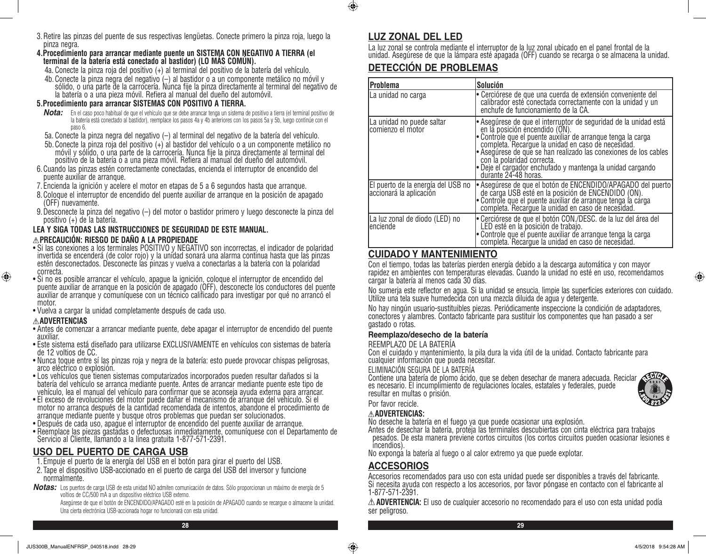3.Retire las pinzas del puente de sus respectivas lengüetas. Conecte primero la pinza roja, luego la pinza negra.

# **4.Procedimiento para arrancar mediante puente un SISTEMA CON NEGATIVO A TIERRA (el terminal de la batería está conectado al bastidor) (LO MÁS COMÚN).**

- 4a. Conecte la pinza roja del positivo (+) al terminal del positivo de la batería del vehículo.
- 4b. Conecte la pinza negra del negativo (–) al bastidor o a un componente metálico no móvil y sólido, o una parte de la carrocería. Nunca fije la pinza directamente al terminal del negativo de la batería o a una pieza móvil. Refiera al manual del dueño del automóvil.

## **5.Procedimiento para arrancar SISTEMAS CON POSITIVO A TIERRA.**

- *Nota:* En el caso poco habitual de que el vehículo que se debe arrancar tenga un sistema de positivo a tierra (el terminal positivo de la batería está conectado al bastidor), reemplace los pasos 4a y 4b anteriores con los pasos 5a y 5b, luego continúe con el paso 6.
- 5a. Conecte la pinza negra del negativo (–) al terminal del negativo de la batería del vehículo.
- 5b.Conecte la pinza roja del positivo (+) al bastidor del vehículo o a un componente metálico no móvil y sólido, o una parte de la carrocería. Nunca fije la pinza directamente al terminal del positivo de la batería o a una pieza móvil. Refiera al manual del dueño del automóvil.
- 6.Cuando las pinzas estén correctamente conectadas, encienda el interruptor de encendido del puente auxiliar de arranque.
- 7. Encienda la ignición y acelere el motor en etapas de 5 a 6 segundos hasta que arranque.
- 8.Coloque el interruptor de encendido del puente auxiliar de arranque en la posición de apagado (OFF) nuevamente.
- 9.Desconecte la pinza del negativo (–) del motor o bastidor primero y luego desconecte la pinza del positivo (+) de la batería.

#### **LEA Y SIGA TODAS LAS INSTRUCCIONES DE SEGURIDAD DE ESTE MANUAL. PRECAUCIÓN: RIESGO DE DAÑO A LA PROPIEDADE**

- Si las conexiones a los terminales POSITIVO y NEGATIVO son incorrectas, el indicador de polaridad invertida se encenderá (de color rojo) y la unidad sonará una alarma continua hasta que las pinzas estén desconectados. Desconecte las pinzas y vuelva a conectarlas a la batería con la polaridad correcta.
- Si no es posible arrancar el vehículo, apague la ignición, coloque el interruptor de encendido del puente auxiliar de arranque en la posición de apagado (OFF), desconecte los conductores del puente auxiliar de arranque y comuníquese con un técnico calificado para investigar por qué no arrancó el motor.
- Vuelva a cargar la unidad completamente después de cada uso.

#### **ADVERTENCIAS**

⊕

- Antes de comenzar a arrancar mediante puente, debe apagar el interruptor de encendido del puente auxiliar.
- Este sistema está diseñado para utilizarse EXCLUSIVAMENTE en vehículos con sistemas de batería de 12 voltios de CC.
- Nunca toque entre sí las pinzas roja y negra de la batería: esto puede provocar chispas peligrosas, arco eléctrico o explosión.
- Los vehículos que tienen sistemas computarizados incorporados pueden resultar dañados si la batería del vehículo se arranca mediante puente. Antes de arrancar mediante puente este tipo de vehículo, lea el manual del vehículo para confirmar que se aconseja ayuda externa para arrancar.
- El exceso de revoluciones del motor puede dañar el mecanismo de arranque del vehículo. Si el motor no arranca después de la cantidad recomendada de intentos, abandone el procedimiento de arranque mediante puente y busque otros problemas que puedan ser solucionados.
- Después de cada uso, apague el interruptor de encendido del puente auxiliar de arranque.
- Reemplace las piezas gastadas o defectuosas inmediatamente, comuníquese con el Departamento de Servicio al Cliente, llamando a la línea gratuita 1-877-571-2391.

# **USO DEL PUERTO DE CARGA USB**

- 1. Empuje el puerto de la energía del USB en el botón para girar el puerto del USB.
- 2. Tape el dispositivo USB-accionado en el puerto de carga del USB del inversor y funcione normalmente.
- *Notas:* Los puertos de carga USB de esta unidad NO admiten comunicación de datos. Sólo proporcionan un máximo de energía de 5 voltios de CC/500 mA a un dispositivo eléctrico USB externo.

Asegúrese de que el botón de ENCENDIDO/APAGADO esté en la posición de APAGADO cuando se recargue o almacene la unidad. Una cierta electrónica USB-accionada hogar no funcionará con esta unidad.

 $\bigcirc$ 

La luz zonal se controla mediante el interruptor de la luz zonal ubicado en el panel frontal de la unidad. Asegúrese de que la lámpara esté apagada (OFF) cuando se recarga o se almacena la unidad.

# **DETECCIÓN DE PROBLEMAS**

| lProblema                                                     | Solución                                                                                                                                                                                                                                                                                                                                                                                                             |  |  |  |  |
|---------------------------------------------------------------|----------------------------------------------------------------------------------------------------------------------------------------------------------------------------------------------------------------------------------------------------------------------------------------------------------------------------------------------------------------------------------------------------------------------|--|--|--|--|
| La unidad no carga                                            | Cerciórese de que una cuerda de extensión conveniente del<br>calibrador esté conectada correctamente con la unidad y un<br>enchufe de funcionamiento de la CA.                                                                                                                                                                                                                                                       |  |  |  |  |
| La unidad no puede saltar<br>Icomienzo el motor               | Asegúrese de que el interruptor de seguridad de la unidad está<br>en la posición encendido (ON).<br>Controle que el puente auxiliar de arranque tenga la carga<br>completa. Recargue la unidad en caso de necesidad.<br>· Asegúrese de que se han realizado las conexiones de los cables<br>con la polaridad correcta.<br>$\bullet$ Deje el cargador enchufado y mantenga la unidad cargando<br>durante 24-48 horas. |  |  |  |  |
| El puerto de la energía del USB no<br>accionará la aplicación | ∫∙ Asegúrese de que el botón de ENCENDIDO/APAGADO del puerto<br>de carga USB esté en la posición de ENCENDIDO (ON).<br>· Controle que el puente auxiliar de arranque tenga la cárga<br>completa. Recargue la unidad en caso de necesidad.                                                                                                                                                                            |  |  |  |  |
| La luz zonal de diodo (LED) no<br>lenciende                   | ∫∙ Cerciórese de que el botón CON./DESC. de la luz del área del<br>LED esté en la posición de trabajo.<br>Controle que el puente auxiliar de arranque tenga la carga<br>completa. Recargue la unidad en caso de necesidad.                                                                                                                                                                                           |  |  |  |  |

# **CUIDADO Y MANTENIMIENTO**

Con el tiempo, todas las baterías pierden energía debido a la descarga automática y con mayor rapidez en ambientes con temperaturas elevadas. Cuando la unidad no esté en uso, recomendamos cargar la batería al menos cada 30 días.

No sumerja este reflector en agua. Si la unidad se ensucia, limpie las superficies exteriores con cuidado. Utilize una tela suave humedecida con una mezcla diluida de agua y detergente.

No hay ningún usuario-sustituibles piezas. Periódicamente inspeccione la condición de adaptadores, conectores y alambres. Contacto fabricante para sustituir los componentes que han pasado a ser gastado o rotas.

#### **Reemplazo/desecho de la batería**

REEMPLAZO DE LA BATERÍA

Con el cuidado y mantenimiento, la pila dura la vida útil de la unidad. Contacto fabricante para cualquier información que pueda necesitar.

#### ELIMINACIÓN SEGURA DE LA BATERÍA

Contiene una batería de plomo ácido, que se deben desechar de manera adecuada. Reciclar es necesario. El incumplimiento de regulaciones locales, estatales y federales, puede resultar en multas o prisión.



#### **ADVERTENCIAS:**

No deseche la batería en el fuego ya que puede ocasionar una explosión.

Antes de desechar la batería, proteja las terminales descubiertas con cinta eléctrica para trabajos pesados. De esta manera previene cortos circuitos (los cortos circuitos pueden ocasionar lesiones e incendios).

No exponga la batería al fuego o al calor extremo ya que puede explotar.

# **ACCESORIOS**

Accesorios recomendados para uso con esta unidad puede ser disponibles a través del fabricante. Si necesita ayuda con respecto a los accesorios, por favor póngase en contacto con el fabricante al 1-877-571-2391.

**ADVERTENCIA:** El uso de cualquier accesorio no recomendado para el uso con esta unidad podía ser peligroso.

**28 29**